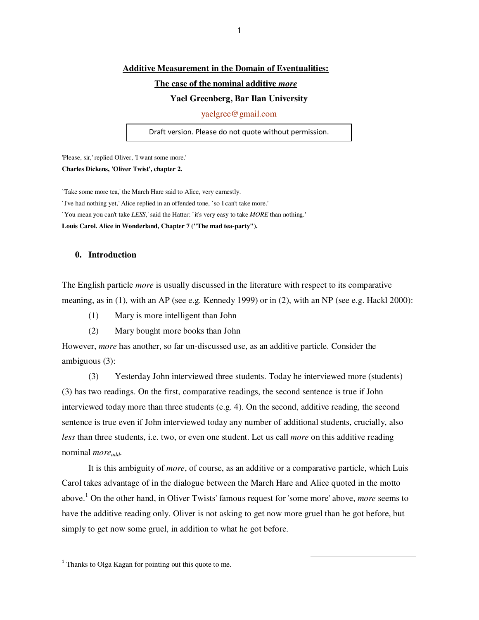## **Additive Measurement in the Domain of Eventualities:**

## **The case of the nominal additive** *more*

#### **Yael Greenberg, Bar Ilan University**

yaelgree@gmail.com

Draft version. Please do not quote without permission.

'Please, sir,' replied Oliver, 'I want some more.' **Charles Dickens, 'Oliver Twist', chapter 2.** 

`Take some more tea,' the March Hare said to Alice, very earnestly.

`I've had nothing yet,' Alice replied in an offended tone, `so I can't take more.'

`You mean you can't take *LESS*,' said the Hatter: `it's very easy to take *MORE* than nothing.'

**Louis Carol. Alice in Wonderland, Chapter 7 ("The mad tea-party").** 

## **0. Introduction**

The English particle *more* is usually discussed in the literature with respect to its comparative meaning, as in (1), with an AP (see e.g. Kennedy 1999) or in (2), with an NP (see e.g. Hackl 2000):

- (1) Mary is more intelligent than John
- (2) Mary bought more books than John

However, *more* has another, so far un-discussed use, as an additive particle. Consider the ambiguous (3):

(3) Yesterday John interviewed three students. Today he interviewed more (students) (3) has two readings. On the first, comparative readings, the second sentence is true if John interviewed today more than three students (e.g. 4). On the second, additive reading, the second sentence is true even if John interviewed today any number of additional students, crucially, also *less* than three students, i.e. two, or even one student. Let us call *more* on this additive reading nominal *moreadd.* 

It is this ambiguity of *more*, of course, as an additive or a comparative particle, which Luis Carol takes advantage of in the dialogue between the March Hare and Alice quoted in the motto above.<sup>1</sup> On the other hand, in Oliver Twists' famous request for 'some more' above, *more* seems to have the additive reading only. Oliver is not asking to get now more gruel than he got before, but simply to get now some gruel, in addition to what he got before.

1

<sup>1</sup> Thanks to Olga Kagan for pointing out this quote to me.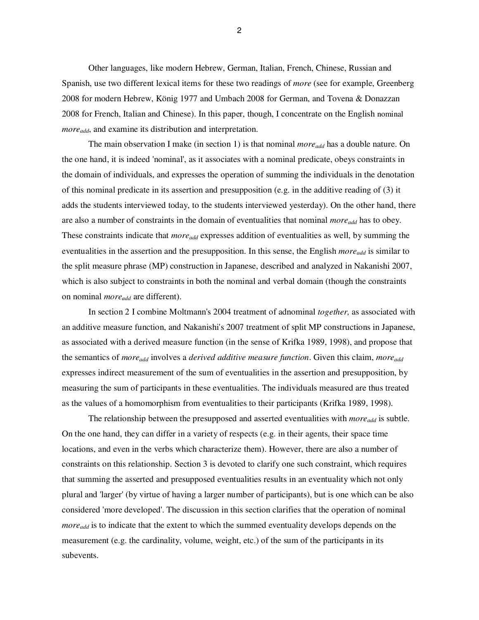Other languages, like modern Hebrew, German, Italian, French, Chinese, Russian and Spanish, use two different lexical items for these two readings of *more* (see for example, Greenberg 2008 for modern Hebrew, König 1977 and Umbach 2008 for German, and Tovena & Donazzan 2008 for French, Italian and Chinese). In this paper, though, I concentrate on the English nominal *moreadd*, and examine its distribution and interpretation.

The main observation I make (in section 1) is that nominal *moreadd* has a double nature. On the one hand, it is indeed 'nominal', as it associates with a nominal predicate, obeys constraints in the domain of individuals, and expresses the operation of summing the individuals in the denotation of this nominal predicate in its assertion and presupposition (e.g. in the additive reading of (3) it adds the students interviewed today, to the students interviewed yesterday). On the other hand, there are also a number of constraints in the domain of eventualities that nominal *moreadd* has to obey. These constraints indicate that *moreadd* expresses addition of eventualities as well, by summing the eventualities in the assertion and the presupposition. In this sense, the English *moreadd* is similar to the split measure phrase (MP) construction in Japanese, described and analyzed in Nakanishi 2007, which is also subject to constraints in both the nominal and verbal domain (though the constraints on nominal *moreadd* are different).

 In section 2 I combine Moltmann's 2004 treatment of adnominal *together,* as associated with an additive measure function, and Nakanishi's 2007 treatment of split MP constructions in Japanese, as associated with a derived measure function (in the sense of Krifka 1989, 1998), and propose that the semantics of *moreadd* involves a *derived additive measure function*. Given this claim, *moreadd* expresses indirect measurement of the sum of eventualities in the assertion and presupposition, by measuring the sum of participants in these eventualities. The individuals measured are thus treated as the values of a homomorphism from eventualities to their participants (Krifka 1989, 1998).

The relationship between the presupposed and asserted eventualities with *moreadd* is subtle. On the one hand, they can differ in a variety of respects (e.g. in their agents, their space time locations, and even in the verbs which characterize them). However, there are also a number of constraints on this relationship. Section 3 is devoted to clarify one such constraint, which requires that summing the asserted and presupposed eventualities results in an eventuality which not only plural and 'larger' (by virtue of having a larger number of participants), but is one which can be also considered 'more developed'. The discussion in this section clarifies that the operation of nominal *moreadd* is to indicate that the extent to which the summed eventuality develops depends on the measurement (e.g. the cardinality, volume, weight, etc.) of the sum of the participants in its subevents.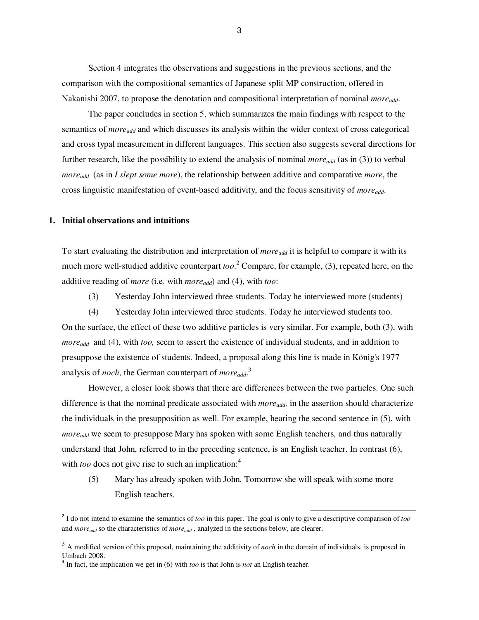Section 4 integrates the observations and suggestions in the previous sections, and the comparison with the compositional semantics of Japanese split MP construction, offered in Nakanishi 2007, to propose the denotation and compositional interpretation of nominal *moreadd*.

The paper concludes in section 5, which summarizes the main findings with respect to the semantics of *moreadd* and which discusses its analysis within the wider context of cross categorical and cross typal measurement in different languages. This section also suggests several directions for further research, like the possibility to extend the analysis of nominal *moreadd* (as in (3)) to verbal *moreadd* (as in *I slept some more*), the relationship between additive and comparative *more*, the cross linguistic manifestation of event-based additivity, and the focus sensitivity of *moreadd*.

# **1. Initial observations and intuitions**

To start evaluating the distribution and interpretation of *moreadd* it is helpful to compare it with its much more well-studied additive counterpart *too*. 2 Compare, for example, (3), repeated here, on the additive reading of *more* (i.e. with *moreadd*) and (4), with *too*:

(3) Yesterday John interviewed three students. Today he interviewed more (students)

(4) Yesterday John interviewed three students. Today he interviewed students too. On the surface, the effect of these two additive particles is very similar. For example, both (3), with *moreadd* and (4), with *too,* seem to assert the existence of individual students, and in addition to presuppose the existence of students. Indeed, a proposal along this line is made in König's 1977 analysis of *noch*, the German counterpart of *moreadd*. 3

However, a closer look shows that there are differences between the two particles. One such difference is that the nominal predicate associated with *moreadd,* in the assertion should characterize the individuals in the presupposition as well. For example, hearing the second sentence in (5), with *moreadd* we seem to presuppose Mary has spoken with some English teachers, and thus naturally understand that John, referred to in the preceding sentence, is an English teacher. In contrast (6), with *too* does not give rise to such an implication:<sup>4</sup>

(5) Mary has already spoken with John. Tomorrow she will speak with some more English teachers.

 2 I do not intend to examine the semantics of *too* in this paper. The goal is only to give a descriptive comparison of *too*  and *moreadd* so the characteristics of *moreadd* , analyzed in the sections below, are clearer.

<sup>&</sup>lt;sup>3</sup> A modified version of this proposal, maintaining the additivity of *noch* in the domain of individuals, is proposed in Umbach 2008.

 $4 \text{ In fact, the implication we get in (6) with } too \text{ is that John is } not \text{ an English teacher.}$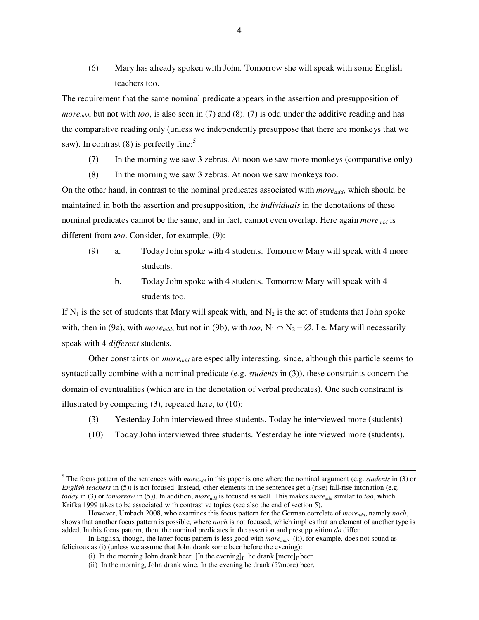(6) Mary has already spoken with John. Tomorrow she will speak with some English teachers too.

The requirement that the same nominal predicate appears in the assertion and presupposition of *moreadd*, but not with *too*, is also seen in (7) and (8). (7) is odd under the additive reading and has the comparative reading only (unless we independently presuppose that there are monkeys that we saw). In contrast  $(8)$  is perfectly fine:<sup>5</sup>

- (7) In the morning we saw 3 zebras. At noon we saw more monkeys (comparative only)
- (8) In the morning we saw 3 zebras. At noon we saw monkeys too.

On the other hand, in contrast to the nominal predicates associated with *moreadd*, which should be maintained in both the assertion and presupposition, the *individuals* in the denotations of these nominal predicates cannot be the same, and in fact, cannot even overlap. Here again *moreadd* is different from *too*. Consider, for example, (9):

- (9) a. Today John spoke with 4 students. Tomorrow Mary will speak with 4 more students.
	- b. Today John spoke with 4 students. Tomorrow Mary will speak with 4 students too.

If  $N_1$  is the set of students that Mary will speak with, and  $N_2$  is the set of students that John spoke with, then in (9a), with *more*<sub>add</sub>, but not in (9b), with *too*,  $N_1 \cap N_2 = \emptyset$ . I.e. Mary will necessarily speak with 4 *different* students.

Other constraints on *moreadd* are especially interesting, since, although this particle seems to syntactically combine with a nominal predicate (e.g. *students* in (3)), these constraints concern the domain of eventualities (which are in the denotation of verbal predicates). One such constraint is illustrated by comparing  $(3)$ , repeated here, to  $(10)$ :

- (3) Yesterday John interviewed three students. Today he interviewed more (students)
- (10) Today John interviewed three students. Yesterday he interviewed more (students).

 $\overline{a}$ 

<sup>&</sup>lt;sup>5</sup> The focus pattern of the sentences with *more*<sub>add</sub> in this paper is one where the nominal argument (e.g. *students* in (3) or *English teachers* in (5)) is not focused. Instead, other elements in the sentences get a (rise) fall-rise intonation (e.g. *today* in (3) or *tomorrow* in (5)). In addition, *moreadd* is focused as well. This makes *moreadd* similar to *too*, which Krifka 1999 takes to be associated with contrastive topics (see also the end of section 5).

However, Umbach 2008, who examines this focus pattern for the German correlate of *moreadd*, namely *noch*, shows that another focus pattern is possible, where *noch* is not focused, which implies that an element of another type is added. In this focus pattern, then, the nominal predicates in the assertion and presupposition *do* differ.

In English, though, the latter focus pattern is less good with *moreadd*. (ii), for example, does not sound as felicitous as (i) (unless we assume that John drank some beer before the evening):

<sup>(</sup>i) In the morning John drank beer. [In the evening]<sub>F</sub> he drank [more]<sub>F</sub> beer

 <sup>(</sup>ii) In the morning, John drank wine. In the evening he drank (??more) beer.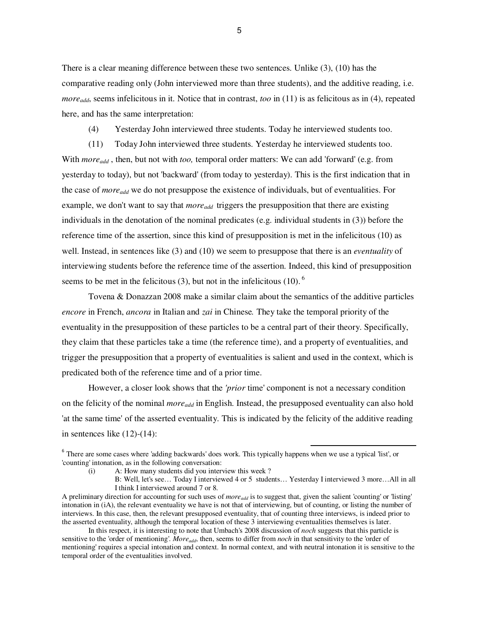There is a clear meaning difference between these two sentences. Unlike (3), (10) has the comparative reading only (John interviewed more than three students), and the additive reading, i.e. *more<sub>add*</sub>, seems infelicitous in it. Notice that in contrast, *too* in (11) is as felicitous as in (4), repeated here, and has the same interpretation:

(4) Yesterday John interviewed three students. Today he interviewed students too.

(11) Today John interviewed three students. Yesterday he interviewed students too. With *moreadd* , then, but not with *too,* temporal order matters: We can add 'forward' (e.g. from yesterday to today), but not 'backward' (from today to yesterday). This is the first indication that in the case of *moreadd* we do not presuppose the existence of individuals, but of eventualities. For example, we don't want to say that *moreadd* triggers the presupposition that there are existing individuals in the denotation of the nominal predicates (e.g. individual students in (3)) before the reference time of the assertion, since this kind of presupposition is met in the infelicitous (10) as well. Instead, in sentences like (3) and (10) we seem to presuppose that there is an *eventuality* of interviewing students before the reference time of the assertion. Indeed, this kind of presupposition seems to be met in the felicitous (3), but not in the infelicitous (10).  $6$ 

Tovena & Donazzan 2008 make a similar claim about the semantics of the additive particles *encore* in French, *ancora* in Italian and *zai* in Chinese*.* They take the temporal priority of the eventuality in the presupposition of these particles to be a central part of their theory. Specifically, they claim that these particles take a time (the reference time), and a property of eventualities, and trigger the presupposition that a property of eventualities is salient and used in the context, which is predicated both of the reference time and of a prior time.

However, a closer look shows that the *'prior* time' component is not a necessary condition on the felicity of the nominal *moreadd* in English. Instead, the presupposed eventuality can also hold 'at the same time' of the asserted eventuality. This is indicated by the felicity of the additive reading in sentences like (12)-(14):

l,

In this respect, it is interesting to note that Umbach's 2008 discussion of *noch* suggests that this particle is sensitive to the 'order of mentioning'. *Moreadd*, then, seems to differ from *noch* in that sensitivity to the 'order of mentioning' requires a special intonation and context. In normal context, and with neutral intonation it is sensitive to the temporal order of the eventualities involved.

<sup>&</sup>lt;sup>6</sup> There are some cases where 'adding backwards' does work. This typically happens when we use a typical 'list', or 'counting' intonation, as in the following conversation:

 <sup>(</sup>i) A: How many students did you interview this week ?

B: Well, let's see… Today I interviewed 4 or 5 students… Yesterday I interviewed 3 more…All in all I think I interviewed around 7 or 8.

A preliminary direction for accounting for such uses of *moreadd* is to suggest that, given the salient 'counting' or 'listing' intonation in (iA), the relevant eventuality we have is not that of interviewing, but of counting, or listing the number of interviews. In this case, then, the relevant presupposed eventuality, that of counting three interviews, is indeed prior to the asserted eventuality, although the temporal location of these 3 interviewing eventualities themselves is later.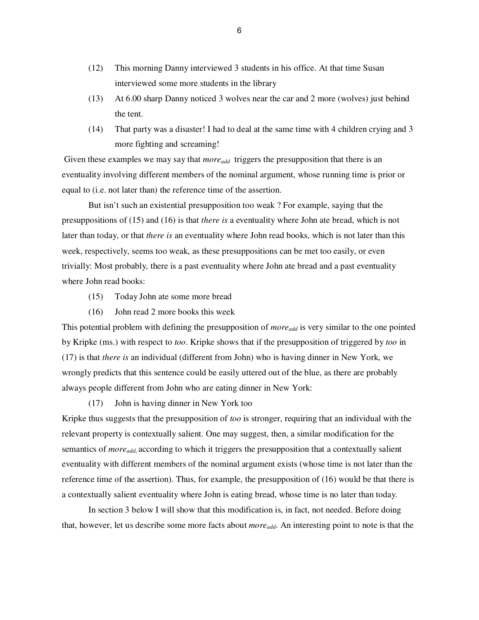- (12) This morning Danny interviewed 3 students in his office. At that time Susan interviewed some more students in the library
- (13) At 6.00 sharp Danny noticed 3 wolves near the car and 2 more (wolves) just behind the tent.
- (14) That party was a disaster! I had to deal at the same time with 4 children crying and 3 more fighting and screaming!

Given these examples we may say that *more*<sub>add</sub> triggers the presupposition that there is an eventuality involving different members of the nominal argument, whose running time is prior or equal to (i.e. not later than) the reference time of the assertion.

 But isn't such an existential presupposition too weak ? For example, saying that the presuppositions of (15) and (16) is that *there is* a eventuality where John ate bread, which is not later than today, or that *there is* an eventuality where John read books, which is not later than this week, respectively, seems too weak, as these presuppositions can be met too easily, or even trivially: Most probably, there is a past eventuality where John ate bread and a past eventuality where John read books:

- (15) Today John ate some more bread
- (16) John read 2 more books this week

This potential problem with defining the presupposition of *more*<sub>add</sub> is very similar to the one pointed by Kripke (ms.) with respect to *too*. Kripke shows that if the presupposition of triggered by *too* in (17) is that *there is* an individual (different from John) who is having dinner in New York, we wrongly predicts that this sentence could be easily uttered out of the blue, as there are probably always people different from John who are eating dinner in New York:

(17) John is having dinner in New York too

Kripke thus suggests that the presupposition of *too* is stronger, requiring that an individual with the relevant property is contextually salient. One may suggest, then, a similar modification for the semantics of *moreadd*, according to which it triggers the presupposition that a contextually salient eventuality with different members of the nominal argument exists (whose time is not later than the reference time of the assertion). Thus, for example, the presupposition of (16) would be that there is a contextually salient eventuality where John is eating bread, whose time is no later than today.

In section 3 below I will show that this modification is, in fact, not needed. Before doing that, however, let us describe some more facts about *moreadd*. An interesting point to note is that the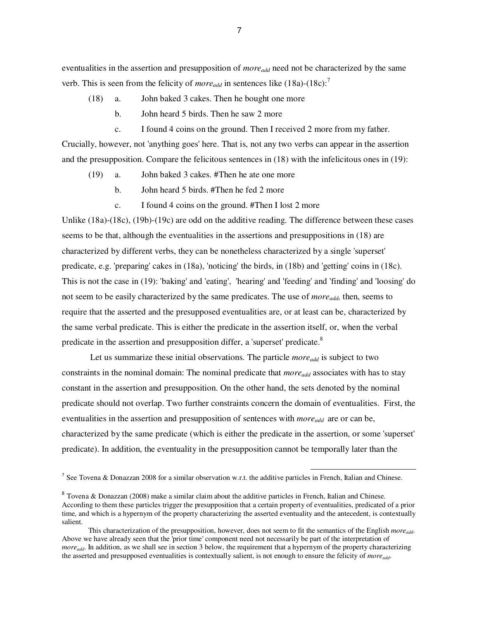eventualities in the assertion and presupposition of *moreadd* need not be characterized by the same verb. This is seen from the felicity of *more*<sub>add</sub> in sentences like  $(18a)-(18c)$ :<sup>7</sup>

- (18) a. John baked 3 cakes. Then he bought one more
	- b. John heard 5 birds. Then he saw 2 more
	- c. I found 4 coins on the ground. Then I received 2 more from my father.

Crucially, however, not 'anything goes' here. That is, not any two verbs can appear in the assertion and the presupposition. Compare the felicitous sentences in (18) with the infelicitous ones in (19):

- (19) a. John baked 3 cakes. #Then he ate one more
	- b. John heard 5 birds. #Then he fed 2 more
	- c. I found 4 coins on the ground. #Then I lost 2 more

Unlike (18a)-(18c), (19b)-(19c) are odd on the additive reading. The difference between these cases seems to be that, although the eventualities in the assertions and presuppositions in (18) are characterized by different verbs, they can be nonetheless characterized by a single 'superset' predicate, e.g. 'preparing' cakes in (18a), 'noticing' the birds, in (18b) and 'getting' coins in (18c). This is not the case in (19): 'baking' and 'eating', 'hearing' and 'feeding' and 'finding' and 'loosing' do not seem to be easily characterized by the same predicates. The use of *moreadd,* then, seems to require that the asserted and the presupposed eventualities are, or at least can be, characterized by the same verbal predicate. This is either the predicate in the assertion itself, or, when the verbal predicate in the assertion and presupposition differ, a 'superset' predicate.<sup>8</sup>

Let us summarize these initial observations. The particle *more*<sub>add</sub> is subject to two constraints in the nominal domain: The nominal predicate that *moreadd* associates with has to stay constant in the assertion and presupposition. On the other hand, the sets denoted by the nominal predicate should not overlap. Two further constraints concern the domain of eventualities. First, the eventualities in the assertion and presupposition of sentences with *moreadd* are or can be, characterized by the same predicate (which is either the predicate in the assertion, or some 'superset' predicate). In addition, the eventuality in the presupposition cannot be temporally later than the

<sup>&</sup>lt;sup>7</sup> See Tovena & Donazzan 2008 for a similar observation w.r.t. the additive particles in French, Italian and Chinese.

 $8$  Tovena & Donazzan (2008) make a similar claim about the additive particles in French, Italian and Chinese. According to them these particles trigger the presupposition that a certain property of eventualities, predicated of a prior time, and which is a hypernym of the property characterizing the asserted eventuality and the antecedent, is contextually salient.

This characterization of the presupposition, however, does not seem to fit the semantics of the English *moreadd*. Above we have already seen that the 'prior time' component need not necessarily be part of the interpretation of *more<sub>add</sub>*. In addition, as we shall see in section 3 below, the requirement that a hypernym of the property characterizing the asserted and presupposed eventualities is contextually salient, is not enough to ensure the felicity of *moreadd*.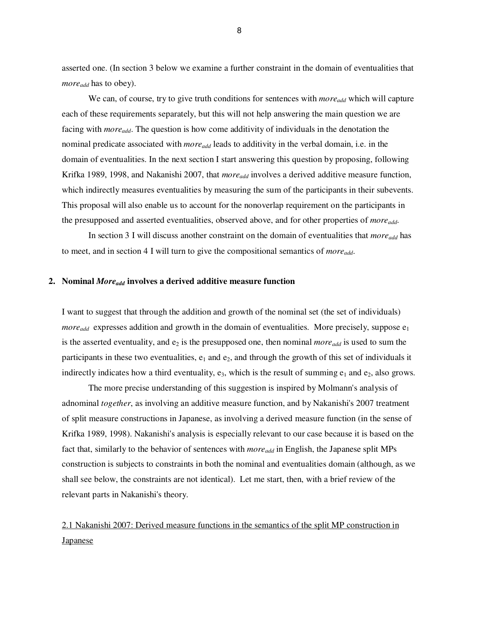asserted one. (In section 3 below we examine a further constraint in the domain of eventualities that *moreadd* has to obey).

We can, of course, try to give truth conditions for sentences with *more*<sub>add</sub> which will capture each of these requirements separately, but this will not help answering the main question we are facing with *moreadd*. The question is how come additivity of individuals in the denotation the nominal predicate associated with *moreadd* leads to additivity in the verbal domain, i.e. in the domain of eventualities. In the next section I start answering this question by proposing, following Krifka 1989, 1998, and Nakanishi 2007, that *moreadd* involves a derived additive measure function, which indirectly measures eventualities by measuring the sum of the participants in their subevents. This proposal will also enable us to account for the nonoverlap requirement on the participants in the presupposed and asserted eventualities, observed above, and for other properties of *moreadd*.

 In section 3 I will discuss another constraint on the domain of eventualities that *moreadd* has to meet, and in section 4 I will turn to give the compositional semantics of *moreadd*.

### **2. Nominal** *Moreadd* **involves a derived additive measure function**

I want to suggest that through the addition and growth of the nominal set (the set of individuals) *more*<sub>add</sub> expresses addition and growth in the domain of eventualities. More precisely, suppose  $e_1$ is the asserted eventuality, and  $e_2$  is the presupposed one, then nominal *more*<sub>add</sub> is used to sum the participants in these two eventualities,  $e_1$  and  $e_2$ , and through the growth of this set of individuals it indirectly indicates how a third eventuality,  $e_3$ , which is the result of summing  $e_1$  and  $e_2$ , also grows.

 The more precise understanding of this suggestion is inspired by Molmann's analysis of adnominal *together*, as involving an additive measure function, and by Nakanishi's 2007 treatment of split measure constructions in Japanese, as involving a derived measure function (in the sense of Krifka 1989, 1998). Nakanishi's analysis is especially relevant to our case because it is based on the fact that, similarly to the behavior of sentences with *moreadd* in English, the Japanese split MPs construction is subjects to constraints in both the nominal and eventualities domain (although, as we shall see below, the constraints are not identical). Let me start, then, with a brief review of the relevant parts in Nakanishi's theory.

2.1 Nakanishi 2007: Derived measure functions in the semantics of the split MP construction in **Japanese**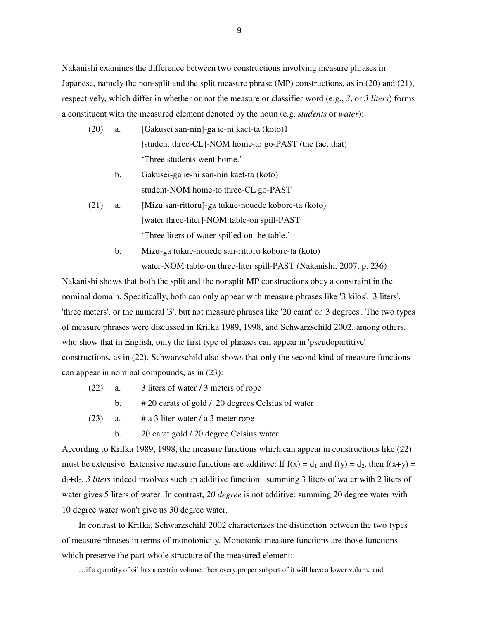Nakanishi examines the difference between two constructions involving measure phrases in Japanese, namely the non-split and the split measure phrase (MP) constructions, as in (20) and (21), respectively, which differ in whether or not the measure or classifier word (e.g., *3*, or *3 liters*) forms a constituent with the measured element denoted by the noun (e.g. *students* or *water*):

- (20) a. [Gakusei san-nin]-ga ie-ni kaet-ta (koto)1 [student three-CL]-NOM home-to go-PAST (the fact that) 'Three students went home.'
	- b. Gakusei-ga ie-ni san-nin kaet-ta (koto) student-NOM home-to three-CL go-PAST
- (21) a. [Mizu san-rittoru]-ga tukue-nouede kobore-ta (koto) [water three-liter]-NOM table-on spill-PAST 'Three liters of water spilled on the table.'
	- b. Mizu-ga tukue-nouede san-rittoru kobore-ta (koto) water-NOM table-on three-liter spill-PAST (Nakanishi, 2007, p. 236)

Nakanishi shows that both the split and the nonsplit MP constructions obey a constraint in the nominal domain. Specifically, both can only appear with measure phrases like '3 kilos', '3 liters', 'three meters', or the numeral '3', but not measure phrases like '20 carat' or '3 degrees'. The two types of measure phrases were discussed in Krifka 1989, 1998, and Schwarzschild 2002, among others, who show that in English, only the first type of phrases can appear in 'pseudopartitive' constructions, as in (22). Schwarzschild also shows that only the second kind of measure functions can appear in nominal compounds, as in (23):

- (22) a. 3 liters of water / 3 meters of rope
	- b. # 20 carats of gold / 20 degrees Celsius of water
- (23) a. # a 3 liter water / a 3 meter rope
	- b. 20 carat gold / 20 degree Celsius water

According to Krifka 1989, 1998, the measure functions which can appear in constructions like (22) must be extensive. Extensive measure functions are additive: If  $f(x) = d_1$  and  $f(y) = d_2$ , then  $f(x+y) = d_1$ d1+d2. *3 liter*s indeed involves such an additive function: summing 3 liters of water with 2 liters of water gives 5 liters of water. In contrast, *20 degree* is not additive: summing 20 degree water with 10 degree water won't give us 30 degree water.

In contrast to Krifka, Schwarzschild 2002 characterizes the distinction between the two types of measure phrases in terms of monotonicity. Monotonic measure functions are those functions which preserve the part-whole structure of the measured element:

…if a quantity of oil has a certain volume, then every proper subpart of it will have a lower volume and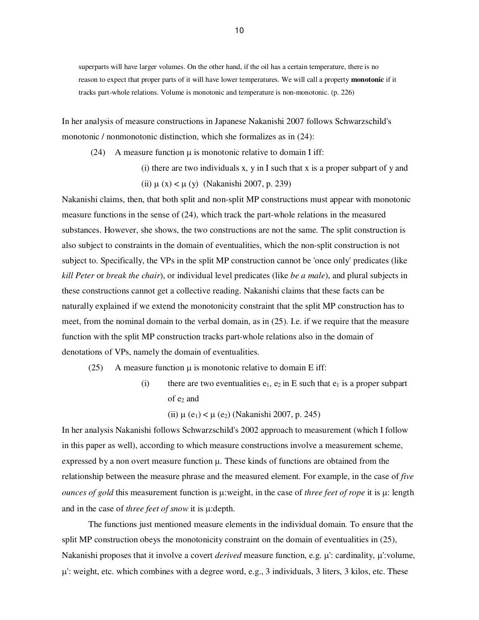superparts will have larger volumes. On the other hand, if the oil has a certain temperature, there is no reason to expect that proper parts of it will have lower temperatures. We will call a property **monotonic** if it tracks part-whole relations. Volume is monotonic and temperature is non-monotonic. (p. 226)

In her analysis of measure constructions in Japanese Nakanishi 2007 follows Schwarzschild's monotonic / nonmonotonic distinction, which she formalizes as in (24):

(24) A measure function  $\mu$  is monotonic relative to domain I iff:

(i) there are two individuals x, y in I such that x is a proper subpart of y and (ii)  $\mu$  (x) <  $\mu$  (y) (Nakanishi 2007, p. 239)

Nakanishi claims, then, that both split and non-split MP constructions must appear with monotonic measure functions in the sense of (24), which track the part-whole relations in the measured substances. However, she shows, the two constructions are not the same. The split construction is also subject to constraints in the domain of eventualities, which the non-split construction is not subject to. Specifically, the VPs in the split MP construction cannot be 'once only' predicates (like *kill Peter* or *break the chair*), or individual level predicates (like *be a male*), and plural subjects in these constructions cannot get a collective reading. Nakanishi claims that these facts can be naturally explained if we extend the monotonicity constraint that the split MP construction has to meet, from the nominal domain to the verbal domain, as in (25). I.e. if we require that the measure function with the split MP construction tracks part-whole relations also in the domain of denotations of VPs, namely the domain of eventualities.

(25) A measure function  $\mu$  is monotonic relative to domain E iff:

(i) there are two eventualities  $e_1$ ,  $e_2$  in E such that  $e_1$  is a proper subpart of  $e_2$  and

(ii)  $\mu$  (e<sub>1</sub>) <  $\mu$  (e<sub>2</sub>) (Nakanishi 2007, p. 245)

In her analysis Nakanishi follows Schwarzschild's 2002 approach to measurement (which I follow in this paper as well), according to which measure constructions involve a measurement scheme, expressed by a non overt measure function  $\mu$ . These kinds of functions are obtained from the relationship between the measure phrase and the measured element. For example, in the case of *five ounces of gold* this measurement function is µ:weight, in the case of *three feet of rope* it is µ: length and in the case of *three feet of snow* it is µ:depth.

 The functions just mentioned measure elements in the individual domain. To ensure that the split MP construction obeys the monotonicity constraint on the domain of eventualities in (25), Nakanishi proposes that it involve a covert *derived* measure function, e.g. µ': cardinality, µ':volume,  $\mu$ : weight, etc. which combines with a degree word, e.g., 3 individuals, 3 liters, 3 kilos, etc. These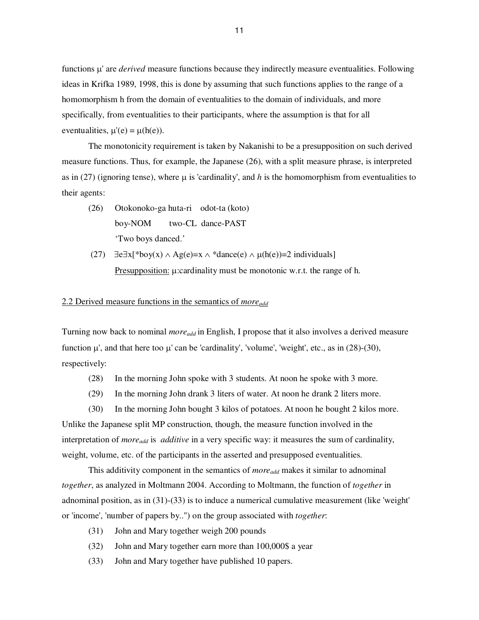functions µ' are *derived* measure functions because they indirectly measure eventualities. Following ideas in Krifka 1989, 1998, this is done by assuming that such functions applies to the range of a homomorphism h from the domain of eventualities to the domain of individuals, and more specifically, from eventualities to their participants, where the assumption is that for all eventualities,  $\mu'(e) = \mu(h(e))$ .

The monotonicity requirement is taken by Nakanishi to be a presupposition on such derived measure functions. Thus, for example, the Japanese (26), with a split measure phrase, is interpreted as in (27) (ignoring tense), where  $\mu$  is 'cardinality', and h is the homomorphism from eventualities to their agents:

- (26) Otokonoko-ga huta-ri odot-ta (koto) boy-NOM two-CL dance-PAST 'Two boys danced.'
- (27)  $\exists e \exists x [\text{*boy}(x) \land \text{Ag}(e) = x \land \text{*dance}(e) \land \mu(h(e)) = 2 \text{ individuals}$ Presupposition: µ:cardinality must be monotonic w.r.t. the range of h.

# 2.2 Derived measure functions in the semantics of *moreadd*

Turning now back to nominal *moreadd* in English, I propose that it also involves a derived measure function  $\mu'$ , and that here too  $\mu'$  can be 'cardinality', 'volume', 'weight', etc., as in (28)-(30), respectively:

- (28) In the morning John spoke with 3 students. At noon he spoke with 3 more.
- (29) In the morning John drank 3 liters of water. At noon he drank 2 liters more.

 (30) In the morning John bought 3 kilos of potatoes. At noon he bought 2 kilos more. Unlike the Japanese split MP construction, though, the measure function involved in the interpretation of *moreadd* is *additive* in a very specific way: it measures the sum of cardinality, weight, volume, etc. of the participants in the asserted and presupposed eventualities.

 This additivity component in the semantics of *moreadd* makes it similar to adnominal *together*, as analyzed in Moltmann 2004. According to Moltmann, the function of *together* in adnominal position, as in (31)-(33) is to induce a numerical cumulative measurement (like 'weight' or 'income', 'number of papers by..") on the group associated with *together*:

- (31) John and Mary together weigh 200 pounds
- (32) John and Mary together earn more than 100,000\$ a year
- (33) John and Mary together have published 10 papers.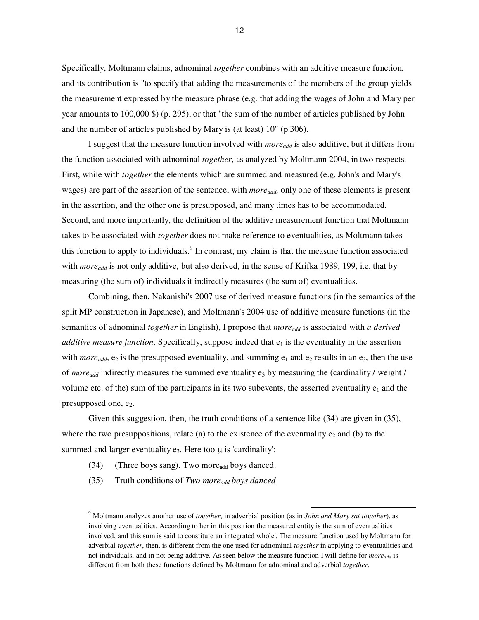Specifically, Moltmann claims, adnominal *together* combines with an additive measure function, and its contribution is "to specify that adding the measurements of the members of the group yields the measurement expressed by the measure phrase (e.g. that adding the wages of John and Mary per year amounts to 100,000 \$) (p. 295), or that "the sum of the number of articles published by John and the number of articles published by Mary is (at least) 10" (p.306).

 I suggest that the measure function involved with *moreadd* is also additive, but it differs from the function associated with adnominal *together*, as analyzed by Moltmann 2004, in two respects. First, while with *together* the elements which are summed and measured (e.g. John's and Mary's wages) are part of the assertion of the sentence, with *moreadd,* only one of these elements is present in the assertion, and the other one is presupposed, and many times has to be accommodated. Second, and more importantly, the definition of the additive measurement function that Moltmann takes to be associated with *together* does not make reference to eventualities, as Moltmann takes this function to apply to individuals.<sup>9</sup> In contrast, my claim is that the measure function associated with *moreadd* is not only additive, but also derived, in the sense of Krifka 1989, 199, i.e. that by measuring (the sum of) individuals it indirectly measures (the sum of) eventualities.

Combining, then, Nakanishi's 2007 use of derived measure functions (in the semantics of the split MP construction in Japanese), and Moltmann's 2004 use of additive measure functions (in the semantics of adnominal *together* in English), I propose that *moreadd* is associated with *a derived additive measure function.* Specifically, suppose indeed that  $e_1$  is the eventuality in the assertion with *more*<sub>add</sub>, e<sub>2</sub> is the presupposed eventuality, and summing  $e_1$  and  $e_2$  results in an  $e_3$ , then the use of *more*<sub>add</sub> indirectly measures the summed eventuality e<sub>3</sub> by measuring the (cardinality / weight / volume etc. of the) sum of the participants in its two subevents, the asserted eventuality  $e_1$  and the presupposed one,  $e_2$ .

Given this suggestion, then, the truth conditions of a sentence like (34) are given in (35), where the two presuppositions, relate (a) to the existence of the eventuality  $e_2$  and (b) to the summed and larger eventuality  $e_3$ . Here too  $\mu$  is 'cardinality':

- $(34)$  (Three boys sang). Two more<sub>add</sub> boys danced.
- (35) Truth conditions of *Two moreadd boys danced*

<sup>9</sup> Moltmann analyzes another use of *together*, in adverbial position (as in *John and Mary sat together*), as involving eventualities. According to her in this position the measured entity is the sum of eventualities involved, and this sum is said to constitute an 'integrated whole'. The measure function used by Moltmann for adverbial *together*, then, is different from the one used for adnominal *together* in applying to eventualities and not individuals, and in not being additive. As seen below the measure function I will define for *moreadd* is different from both these functions defined by Moltmann for adnominal and adverbial *together*.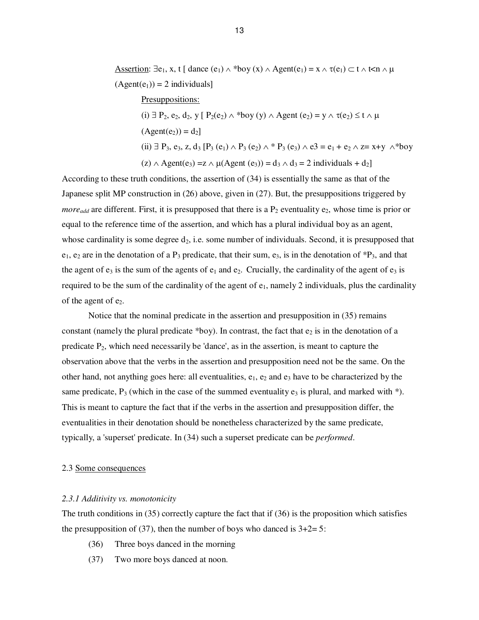Assertion:  $\exists e_1, x, t \mid \text{dance}(e_1) \land \text{*boy}(x) \land \text{Agent}(e_1) = x \land \tau(e_1) \subset t \land t \leq n \land \mu$  $(Agent(e_1)) = 2$  individuals]

 Presuppositions: (i)  $\exists$  P<sub>2</sub>, e<sub>2</sub>, d<sub>2</sub>, y [ P<sub>2</sub>(e<sub>2</sub>)  $\wedge$  \*boy (y)  $\wedge$  Agent (e<sub>2</sub>) = y  $\wedge$   $\tau$ (e<sub>2</sub>) ≤ t  $\wedge$   $\mu$  $(Agent(e<sub>2</sub>)) = d<sub>2</sub>]$ (ii) ∃ P<sub>3</sub>, e<sub>3</sub>, z, d<sub>3</sub> [P<sub>3</sub> (e<sub>1</sub>) ∧ P<sub>3</sub> (e<sub>2</sub>) ∧ \* P<sub>3</sub> (e<sub>3</sub>) ∧ e3 = e<sub>1</sub> + e<sub>2</sub> ∧ z= x+y ∧\*boy  $(z) \wedge \text{Agent}(e_3) = z \wedge \mu(\text{Agent}(e_3)) = d_3 \wedge d_3 = 2 \text{ individuals } + d_2$ 

According to these truth conditions, the assertion of (34) is essentially the same as that of the Japanese split MP construction in (26) above, given in (27). But, the presuppositions triggered by *more*<sub>add</sub> are different. First, it is presupposed that there is a  $P_2$  eventuality  $e_2$ , whose time is prior or equal to the reference time of the assertion, and which has a plural individual boy as an agent, whose cardinality is some degree  $d_2$ , i.e. some number of individuals. Second, it is presupposed that  $e_1, e_2$  are in the denotation of a P<sub>3</sub> predicate, that their sum,  $e_3$ , is in the denotation of  ${}^*P_3$ , and that the agent of  $e_3$  is the sum of the agents of  $e_1$  and  $e_2$ . Crucially, the cardinality of the agent of  $e_3$  is required to be the sum of the cardinality of the agent of  $e_1$ , namely 2 individuals, plus the cardinality of the agent of e2.

Notice that the nominal predicate in the assertion and presupposition in (35) remains constant (namely the plural predicate \*boy). In contrast, the fact that  $e_2$  is in the denotation of a predicate  $P_2$ , which need necessarily be 'dance', as in the assertion, is meant to capture the observation above that the verbs in the assertion and presupposition need not be the same. On the other hand, not anything goes here: all eventualities,  $e_1$ ,  $e_2$  and  $e_3$  have to be characterized by the same predicate,  $P_3$  (which in the case of the summed eventuality  $e_3$  is plural, and marked with  $*)$ . This is meant to capture the fact that if the verbs in the assertion and presupposition differ, the eventualities in their denotation should be nonetheless characterized by the same predicate, typically, a 'superset' predicate. In (34) such a superset predicate can be *performed*.

## 2.3 Some consequences

## *2.3.1 Additivity vs. monotonicity*

The truth conditions in (35) correctly capture the fact that if (36) is the proposition which satisfies the presupposition of (37), then the number of boys who danced is  $3+2=5$ :

- (36) Three boys danced in the morning
- (37) Two more boys danced at noon.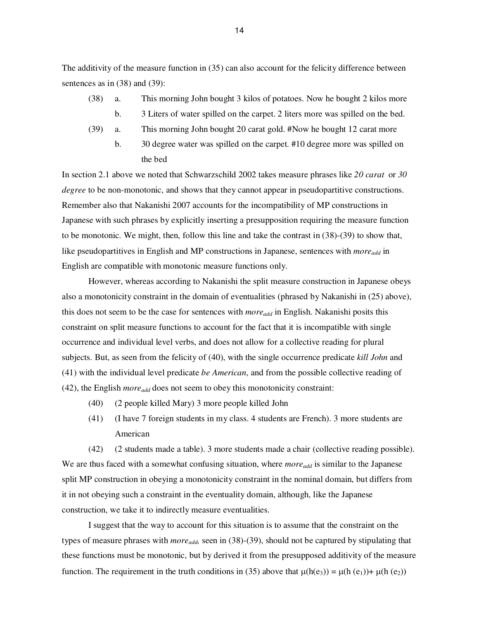The additivity of the measure function in (35) can also account for the felicity difference between sentences as in (38) and (39):

- (38) a. This morning John bought 3 kilos of potatoes. Now he bought 2 kilos more
	- b. 3 Liters of water spilled on the carpet. 2 liters more was spilled on the bed.
- (39) a. This morning John bought 20 carat gold. #Now he bought 12 carat more
	- b. 30 degree water was spilled on the carpet. #10 degree more was spilled on the bed

In section 2.1 above we noted that Schwarzschild 2002 takes measure phrases like *20 carat* or *30 degree* to be non-monotonic, and shows that they cannot appear in pseudopartitive constructions. Remember also that Nakanishi 2007 accounts for the incompatibility of MP constructions in Japanese with such phrases by explicitly inserting a presupposition requiring the measure function to be monotonic. We might, then, follow this line and take the contrast in (38)-(39) to show that, like pseudopartitives in English and MP constructions in Japanese, sentences with *moreadd* in English are compatible with monotonic measure functions only.

 However, whereas according to Nakanishi the split measure construction in Japanese obeys also a monotonicity constraint in the domain of eventualities (phrased by Nakanishi in (25) above), this does not seem to be the case for sentences with *moreadd* in English. Nakanishi posits this constraint on split measure functions to account for the fact that it is incompatible with single occurrence and individual level verbs, and does not allow for a collective reading for plural subjects. But, as seen from the felicity of (40), with the single occurrence predicate *kill John* and (41) with the individual level predicate *be American*, and from the possible collective reading of (42), the English *moreadd* does not seem to obey this monotonicity constraint:

- (40) (2 people killed Mary) 3 more people killed John
- (41) (I have 7 foreign students in my class. 4 students are French). 3 more students are American

(42) (2 students made a table). 3 more students made a chair (collective reading possible). We are thus faced with a somewhat confusing situation, where *more*<sub>add</sub> is similar to the Japanese split MP construction in obeying a monotonicity constraint in the nominal domain, but differs from it in not obeying such a constraint in the eventuality domain, although, like the Japanese construction, we take it to indirectly measure eventualities.

 I suggest that the way to account for this situation is to assume that the constraint on the types of measure phrases with *moreadd,* seen in (38)-(39), should not be captured by stipulating that these functions must be monotonic, but by derived it from the presupposed additivity of the measure function. The requirement in the truth conditions in (35) above that  $\mu(h(e_3)) = \mu(h(e_1)) + \mu(h(e_2))$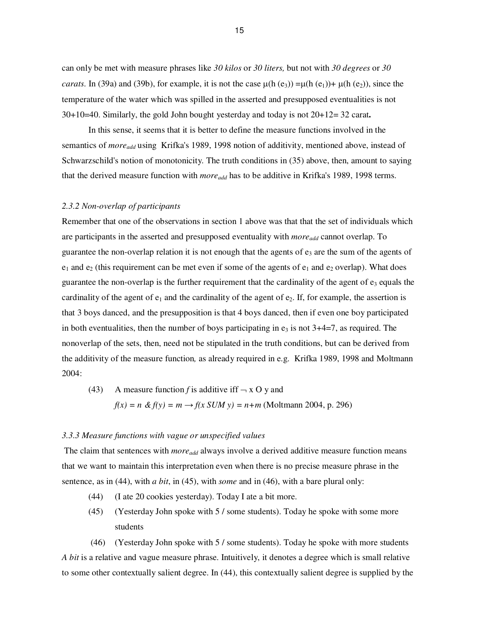can only be met with measure phrases like *30 kilos* or *30 liters,* but not with *30 degrees* or *30 carats*. In (39a) and (39b), for example, it is not the case  $\mu$ (h (e<sub>3</sub>)) = $\mu$ (h (e<sub>1</sub>))+  $\mu$ (h (e<sub>2</sub>)), since the temperature of the water which was spilled in the asserted and presupposed eventualities is not 30+10=40. Similarly, the gold John bought yesterday and today is not 20+12= 32 carat**.** 

In this sense, it seems that it is better to define the measure functions involved in the semantics of *moreadd* using Krifka's 1989, 1998 notion of additivity, mentioned above, instead of Schwarzschild's notion of monotonicity. The truth conditions in (35) above, then, amount to saying that the derived measure function with *moreadd* has to be additive in Krifka's 1989, 1998 terms.

# *2.3.2 Non-overlap of participants*

Remember that one of the observations in section 1 above was that that the set of individuals which are participants in the asserted and presupposed eventuality with *moreadd* cannot overlap. To guarantee the non-overlap relation it is not enough that the agents of  $e_3$  are the sum of the agents of  $e_1$  and  $e_2$  (this requirement can be met even if some of the agents of  $e_1$  and  $e_2$  overlap). What does guarantee the non-overlap is the further requirement that the cardinality of the agent of  $e_3$  equals the cardinality of the agent of  $e_1$  and the cardinality of the agent of  $e_2$ . If, for example, the assertion is that 3 boys danced, and the presupposition is that 4 boys danced, then if even one boy participated in both eventualities, then the number of boys participating in  $e_3$  is not  $3+4=7$ , as required. The nonoverlap of the sets, then, need not be stipulated in the truth conditions, but can be derived from the additivity of the measure function*,* as already required in e.g. Krifka 1989, 1998 and Moltmann 2004:

(43) A measure function *f* is additive if  $\rightarrow$  x O y and  $f(x) = n \& f(y) = m \rightarrow f(x \text{ SUM } y) = n + m \text{ (Moltmann 2004, p. 296)}$ 

### *3.3.3 Measure functions with vague or unspecified values*

 The claim that sentences with *moreadd* always involve a derived additive measure function means that we want to maintain this interpretation even when there is no precise measure phrase in the sentence, as in (44), with *a bit*, in (45), with *some* and in (46), with a bare plural only:

- (44) (I ate 20 cookies yesterday). Today I ate a bit more.
- (45) (Yesterday John spoke with 5 / some students). Today he spoke with some more students

 (46) (Yesterday John spoke with 5 / some students). Today he spoke with more students *A bit* is a relative and vague measure phrase. Intuitively, it denotes a degree which is small relative to some other contextually salient degree. In (44), this contextually salient degree is supplied by the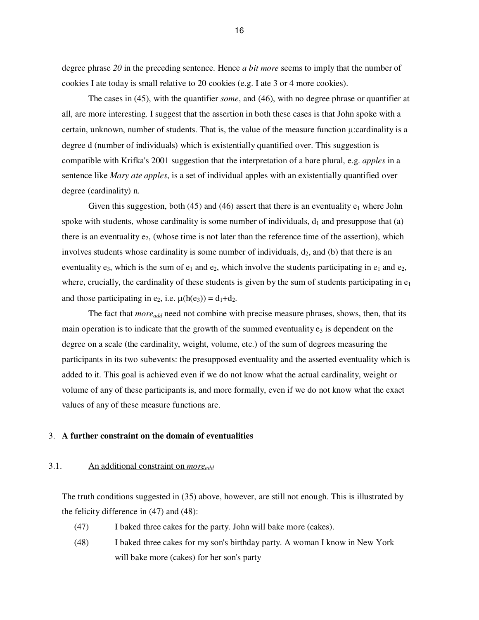degree phrase *20* in the preceding sentence. Hence *a bit more* seems to imply that the number of cookies I ate today is small relative to 20 cookies (e.g. I ate 3 or 4 more cookies).

The cases in (45), with the quantifier *some*, and (46), with no degree phrase or quantifier at all, are more interesting. I suggest that the assertion in both these cases is that John spoke with a certain, unknown, number of students. That is, the value of the measure function µ:cardinality is a degree d (number of individuals) which is existentially quantified over. This suggestion is compatible with Krifka's 2001 suggestion that the interpretation of a bare plural, e.g. *apples* in a sentence like *Mary ate apples*, is a set of individual apples with an existentially quantified over degree (cardinality) n.

Given this suggestion, both (45) and (46) assert that there is an eventuality  $e_1$  where John spoke with students, whose cardinality is some number of individuals,  $d_1$  and presuppose that (a) there is an eventuality  $e_2$ , (whose time is not later than the reference time of the assertion), which involves students whose cardinality is some number of individuals,  $d_2$ , and (b) that there is an eventuality  $e_3$ , which is the sum of  $e_1$  and  $e_2$ , which involve the students participating in  $e_1$  and  $e_2$ , where, crucially, the cardinality of these students is given by the sum of students participating in  $e_1$ and those participating in e<sub>2</sub>, i.e.  $\mu(h(e_3)) = d_1 + d_2$ .

 The fact that *moreadd* need not combine with precise measure phrases, shows, then, that its main operation is to indicate that the growth of the summed eventuality  $e_3$  is dependent on the degree on a scale (the cardinality, weight, volume, etc.) of the sum of degrees measuring the participants in its two subevents: the presupposed eventuality and the asserted eventuality which is added to it. This goal is achieved even if we do not know what the actual cardinality, weight or volume of any of these participants is, and more formally, even if we do not know what the exact values of any of these measure functions are.

# 3. **A further constraint on the domain of eventualities**

# 3.1. An additional constraint on *moreadd*

The truth conditions suggested in (35) above, however, are still not enough. This is illustrated by the felicity difference in (47) and (48):

- (47) I baked three cakes for the party. John will bake more (cakes).
- (48) I baked three cakes for my son's birthday party. A woman I know in New York will bake more (cakes) for her son's party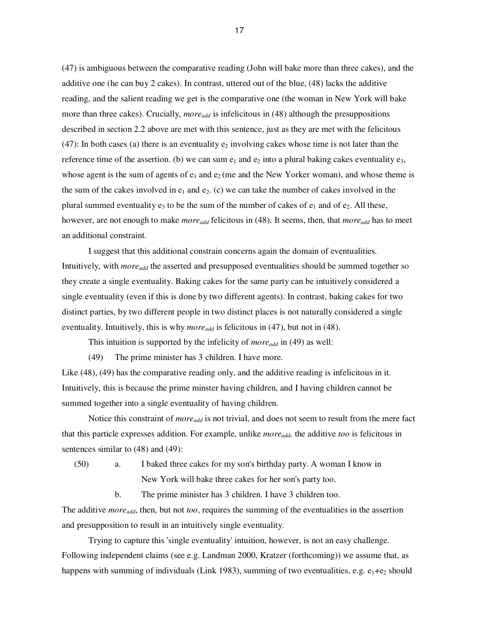(47) is ambiguous between the comparative reading (John will bake more than three cakes), and the additive one (he can buy 2 cakes). In contrast, uttered out of the blue, (48) lacks the additive reading, and the salient reading we get is the comparative one (the woman in New York will bake more than three cakes). Crucially, *moreadd* is infelicitous in (48) although the presuppositions described in section 2.2 above are met with this sentence, just as they are met with the felicitous (47): In both cases (a) there is an eventuality  $e_2$  involving cakes whose time is not later than the reference time of the assertion. (b) we can sum  $e_1$  and  $e_2$  into a plural baking cakes eventuality  $e_3$ , whose agent is the sum of agents of  $e_1$  and  $e_2$  (me and the New Yorker woman), and whose theme is the sum of the cakes involved in  $e_1$  and  $e_2$ . (c) we can take the number of cakes involved in the plural summed eventuality  $e_3$  to be the sum of the number of cakes of  $e_1$  and of  $e_2$ . All these, however, are not enough to make *moreadd* felicitous in (48). It seems, then, that *moreadd* has to meet an additional constraint.

I suggest that this additional constrain concerns again the domain of eventualities. Intuitively, with *moreadd* the asserted and presupposed eventualities should be summed together so they create a single eventuality. Baking cakes for the same party can be intuitively considered a single eventuality (even if this is done by two different agents). In contrast, baking cakes for two distinct parties, by two different people in two distinct places is not naturally considered a single eventuality. Intuitively, this is why *moreadd* is felicitous in (47), but not in (48).

This intuition is supported by the infelicity of *moreadd* in (49) as well:

(49) The prime minister has 3 children. I have more.

Like (48), (49) has the comparative reading only, and the additive reading is infelicitous in it. Intuitively, this is because the prime minster having children, and I having children cannot be summed together into a single eventuality of having children.

 Notice this constraint of *moreadd* is not trivial, and does not seem to result from the mere fact that this particle expresses addition. For example, unlike *moreadd,* the additive *too* is felicitous in sentences similar to (48) and (49):

(50) a. I baked three cakes for my son's birthday party. A woman I know in New York will bake three cakes for her son's party too.

b. The prime minister has 3 children. I have 3 children too.

The additive *moreadd*, then, but not *too*, requires the summing of the eventualities in the assertion and presupposition to result in an intuitively single eventuality.

 Trying to capture this 'single eventuality' intuition, however, is not an easy challenge. Following independent claims (see e.g. Landman 2000, Kratzer (forthcoming)) we assume that, as happens with summing of individuals (Link 1983), summing of two eventualities, e.g.  $e_1 + e_2$  should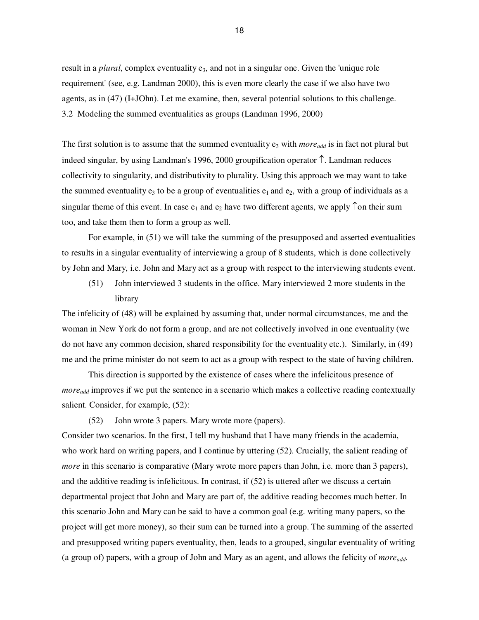result in a *plural*, complex eventuality e<sub>3</sub>, and not in a singular one. Given the 'unique role requirement' (see, e.g. Landman 2000), this is even more clearly the case if we also have two agents, as in (47) (I+JOhn). Let me examine, then, several potential solutions to this challenge. 3.2 Modeling the summed eventualities as groups (Landman 1996, 2000)

The first solution is to assume that the summed eventuality  $e_3$  with *more*<sub>add</sub> is in fact not plural but indeed singular, by using Landman's 1996, 2000 groupification operator ↑. Landman reduces collectivity to singularity, and distributivity to plurality. Using this approach we may want to take the summed eventuality  $e_3$  to be a group of eventualities  $e_1$  and  $e_2$ , with a group of individuals as a singular theme of this event. In case  $e_1$  and  $e_2$  have two different agents, we apply  $\uparrow$ on their sum too, and take them then to form a group as well.

For example, in (51) we will take the summing of the presupposed and asserted eventualities to results in a singular eventuality of interviewing a group of 8 students, which is done collectively by John and Mary, i.e. John and Mary act as a group with respect to the interviewing students event.

(51) John interviewed 3 students in the office. Mary interviewed 2 more students in the library

The infelicity of (48) will be explained by assuming that, under normal circumstances, me and the woman in New York do not form a group, and are not collectively involved in one eventuality (we do not have any common decision, shared responsibility for the eventuality etc.). Similarly, in (49) me and the prime minister do not seem to act as a group with respect to the state of having children.

This direction is supported by the existence of cases where the infelicitous presence of *more<sub>add</sub>* improves if we put the sentence in a scenario which makes a collective reading contextually salient. Consider, for example, (52):

(52) John wrote 3 papers. Mary wrote more (papers).

Consider two scenarios. In the first, I tell my husband that I have many friends in the academia, who work hard on writing papers, and I continue by uttering (52). Crucially, the salient reading of *more* in this scenario is comparative (Mary wrote more papers than John, i.e. more than 3 papers), and the additive reading is infelicitous. In contrast, if (52) is uttered after we discuss a certain departmental project that John and Mary are part of, the additive reading becomes much better. In this scenario John and Mary can be said to have a common goal (e.g. writing many papers, so the project will get more money), so their sum can be turned into a group. The summing of the asserted and presupposed writing papers eventuality, then, leads to a grouped, singular eventuality of writing (a group of) papers, with a group of John and Mary as an agent, and allows the felicity of *moreadd*.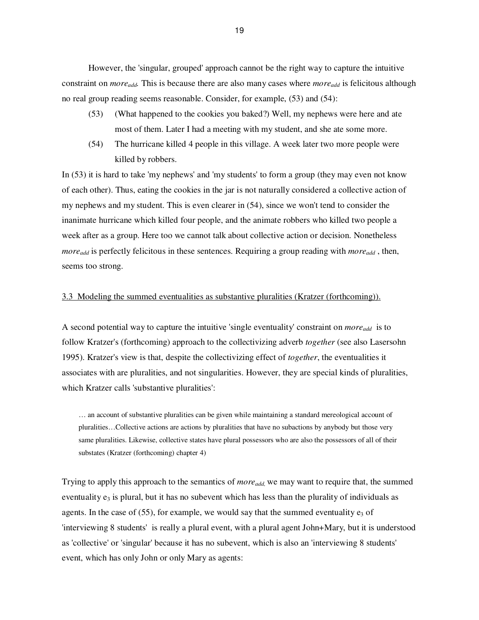However, the 'singular, grouped' approach cannot be the right way to capture the intuitive constraint on *moreadd.* This is because there are also many cases where *moreadd* is felicitous although no real group reading seems reasonable. Consider, for example, (53) and (54):

- (53)(What happened to the cookies you baked?) Well, my nephews were here and ate most of them. Later I had a meeting with my student, and she ate some more.
- (54) The hurricane killed 4 people in this village. A week later two more people were killed by robbers.

In (53) it is hard to take 'my nephews' and 'my students' to form a group (they may even not know of each other). Thus, eating the cookies in the jar is not naturally considered a collective action of my nephews and my student. This is even clearer in (54), since we won't tend to consider the inanimate hurricane which killed four people, and the animate robbers who killed two people a week after as a group. Here too we cannot talk about collective action or decision. Nonetheless *moreadd* is perfectly felicitous in these sentences. Requiring a group reading with *moreadd* , then, seems too strong.

# 3.3 Modeling the summed eventualities as substantive pluralities (Kratzer (forthcoming)).

A second potential way to capture the intuitive 'single eventuality' constraint on *moreadd* is to follow Kratzer's (forthcoming) approach to the collectivizing adverb *together* (see also Lasersohn 1995). Kratzer's view is that, despite the collectivizing effect of *together*, the eventualities it associates with are pluralities, and not singularities. However, they are special kinds of pluralities, which Kratzer calls 'substantive pluralities':

… an account of substantive pluralities can be given while maintaining a standard mereological account of pluralities…Collective actions are actions by pluralities that have no subactions by anybody but those very same pluralities. Likewise, collective states have plural possessors who are also the possessors of all of their substates (Kratzer (forthcoming) chapter 4)

Trying to apply this approach to the semantics of *moreadd,* we may want to require that, the summed eventuality  $e_3$  is plural, but it has no subevent which has less than the plurality of individuals as agents. In the case of (55), for example, we would say that the summed eventuality  $e_3$  of 'interviewing 8 students' is really a plural event, with a plural agent John+Mary, but it is understood as 'collective' or 'singular' because it has no subevent, which is also an 'interviewing 8 students' event, which has only John or only Mary as agents: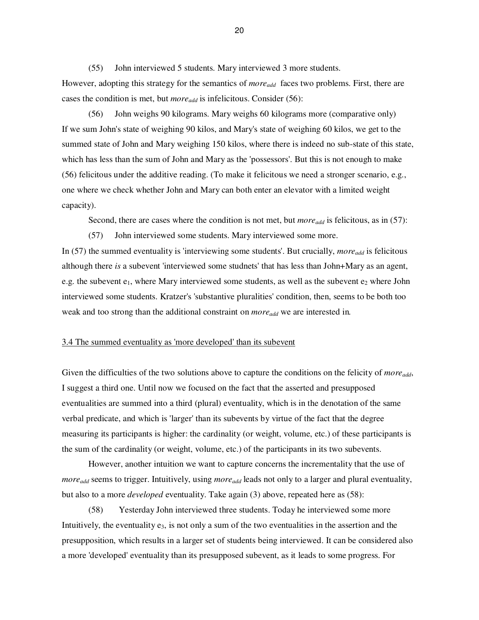(55) John interviewed 5 students. Mary interviewed 3 more students. However, adopting this strategy for the semantics of *more*<sub>add</sub> faces two problems. First, there are cases the condition is met, but *moreadd* is infelicitous. Consider (56):

(56) John weighs 90 kilograms. Mary weighs 60 kilograms more (comparative only) If we sum John's state of weighing 90 kilos, and Mary's state of weighing 60 kilos, we get to the summed state of John and Mary weighing 150 kilos, where there is indeed no sub-state of this state, which has less than the sum of John and Mary as the 'possessors'. But this is not enough to make (56) felicitous under the additive reading. (To make it felicitous we need a stronger scenario, e.g., one where we check whether John and Mary can both enter an elevator with a limited weight capacity).

Second, there are cases where the condition is not met, but *more*<sub>add</sub> is felicitous, as in (57):

(57) John interviewed some students. Mary interviewed some more.

In (57) the summed eventuality is 'interviewing some students'. But crucially, *moreadd* is felicitous although there *is* a subevent 'interviewed some studnets' that has less than John+Mary as an agent, e.g. the subevent  $e_1$ , where Mary interviewed some students, as well as the subevent  $e_2$  where John interviewed some students. Kratzer's 'substantive pluralities' condition, then, seems to be both too weak and too strong than the additional constraint on *moreadd* we are interested in*.* 

# 3.4 The summed eventuality as 'more developed' than its subevent

Given the difficulties of the two solutions above to capture the conditions on the felicity of *moreadd*, I suggest a third one. Until now we focused on the fact that the asserted and presupposed eventualities are summed into a third (plural) eventuality, which is in the denotation of the same verbal predicate, and which is 'larger' than its subevents by virtue of the fact that the degree measuring its participants is higher: the cardinality (or weight, volume, etc.) of these participants is the sum of the cardinality (or weight, volume, etc.) of the participants in its two subevents.

However, another intuition we want to capture concerns the incrementality that the use of *moreadd* seems to trigger. Intuitively, using *moreadd* leads not only to a larger and plural eventuality, but also to a more *developed* eventuality. Take again (3) above, repeated here as (58):

(58) Yesterday John interviewed three students. Today he interviewed some more Intuitively, the eventuality  $e_3$ , is not only a sum of the two eventualities in the assertion and the presupposition, which results in a larger set of students being interviewed. It can be considered also a more 'developed' eventuality than its presupposed subevent, as it leads to some progress. For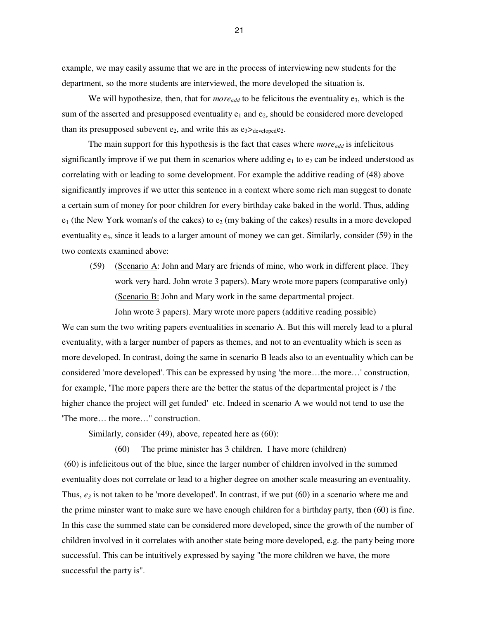example, we may easily assume that we are in the process of interviewing new students for the department, so the more students are interviewed, the more developed the situation is.

We will hypothesize, then, that for *more*<sub>add</sub> to be felicitous the eventuality e<sub>3</sub>, which is the sum of the asserted and presupposed eventuality  $e_1$  and  $e_2$ , should be considered more developed than its presupposed subevent  $e_2$ , and write this as  $e_3 \geq_{\text{developed}} e_2$ .

The main support for this hypothesis is the fact that cases where  $\textit{more}_{add}$  is infelicitous significantly improve if we put them in scenarios where adding  $e_1$  to  $e_2$  can be indeed understood as correlating with or leading to some development. For example the additive reading of (48) above significantly improves if we utter this sentence in a context where some rich man suggest to donate a certain sum of money for poor children for every birthday cake baked in the world. Thus, adding  $e_1$  (the New York woman's of the cakes) to  $e_2$  (my baking of the cakes) results in a more developed eventuality  $e_3$ , since it leads to a larger amount of money we can get. Similarly, consider (59) in the two contexts examined above:

(59) (Scenario A: John and Mary are friends of mine, who work in different place. They work very hard. John wrote 3 papers). Mary wrote more papers (comparative only) (Scenario B: John and Mary work in the same departmental project.

John wrote 3 papers). Mary wrote more papers (additive reading possible) We can sum the two writing papers eventualities in scenario A. But this will merely lead to a plural eventuality, with a larger number of papers as themes, and not to an eventuality which is seen as more developed. In contrast, doing the same in scenario B leads also to an eventuality which can be considered 'more developed'. This can be expressed by using 'the more…the more…' construction, for example, 'The more papers there are the better the status of the departmental project is / the higher chance the project will get funded' etc. Indeed in scenario A we would not tend to use the 'The more… the more…" construction.

Similarly, consider (49), above, repeated here as (60):

 (60) The prime minister has 3 children. I have more (children) (60) is infelicitous out of the blue, since the larger number of children involved in the summed eventuality does not correlate or lead to a higher degree on another scale measuring an eventuality. Thus,  $e_3$  is not taken to be 'more developed'. In contrast, if we put (60) in a scenario where me and the prime minster want to make sure we have enough children for a birthday party, then (60) is fine. In this case the summed state can be considered more developed, since the growth of the number of children involved in it correlates with another state being more developed, e.g. the party being more successful. This can be intuitively expressed by saying "the more children we have, the more successful the party is".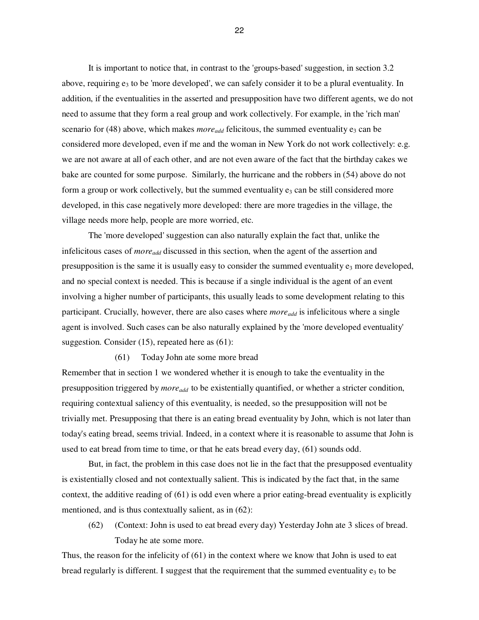It is important to notice that, in contrast to the 'groups-based' suggestion, in section 3.2 above, requiring  $e_3$  to be 'more developed', we can safely consider it to be a plural eventuality. In addition, if the eventualities in the asserted and presupposition have two different agents, we do not need to assume that they form a real group and work collectively. For example, in the 'rich man' scenario for (48) above, which makes *more*<sub>*add*</sub> felicitous, the summed eventuality  $e_3$  can be considered more developed, even if me and the woman in New York do not work collectively: e.g. we are not aware at all of each other, and are not even aware of the fact that the birthday cakes we bake are counted for some purpose. Similarly, the hurricane and the robbers in (54) above do not form a group or work collectively, but the summed eventuality  $e_3$  can be still considered more developed, in this case negatively more developed: there are more tragedies in the village, the village needs more help, people are more worried, etc.

 The 'more developed' suggestion can also naturally explain the fact that, unlike the infelicitous cases of *moreadd* discussed in this section, when the agent of the assertion and presupposition is the same it is usually easy to consider the summed eventuality  $e_3$  more developed, and no special context is needed. This is because if a single individual is the agent of an event involving a higher number of participants, this usually leads to some development relating to this participant. Crucially, however, there are also cases where *more*<sub>add</sub> is infelicitous where a single agent is involved. Such cases can be also naturally explained by the 'more developed eventuality' suggestion. Consider (15), repeated here as (61):

(61) Today John ate some more bread

Remember that in section 1 we wondered whether it is enough to take the eventuality in the presupposition triggered by *moreadd* to be existentially quantified, or whether a stricter condition, requiring contextual saliency of this eventuality, is needed, so the presupposition will not be trivially met. Presupposing that there is an eating bread eventuality by John, which is not later than today's eating bread, seems trivial. Indeed, in a context where it is reasonable to assume that John is used to eat bread from time to time, or that he eats bread every day, (61) sounds odd.

But, in fact, the problem in this case does not lie in the fact that the presupposed eventuality is existentially closed and not contextually salient. This is indicated by the fact that, in the same context, the additive reading of (61) is odd even where a prior eating-bread eventuality is explicitly mentioned, and is thus contextually salient, as in (62):

(62) (Context: John is used to eat bread every day) Yesterday John ate 3 slices of bread. Today he ate some more.

Thus, the reason for the infelicity of (61) in the context where we know that John is used to eat bread regularly is different. I suggest that the requirement that the summed eventuality  $e_3$  to be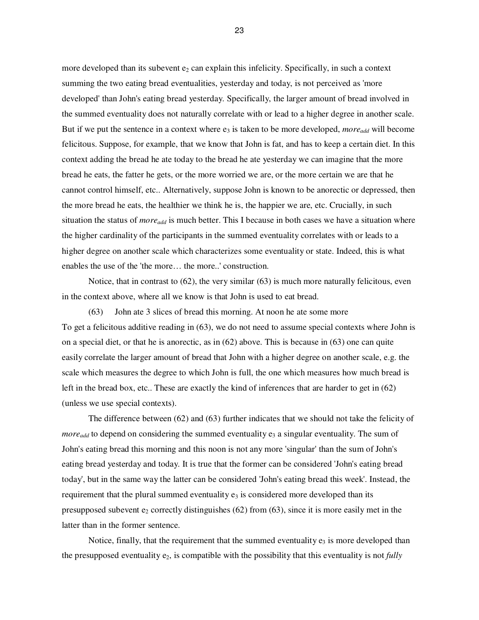more developed than its subevent  $e_2$  can explain this infelicity. Specifically, in such a context summing the two eating bread eventualities, yesterday and today, is not perceived as 'more developed' than John's eating bread yesterday. Specifically, the larger amount of bread involved in the summed eventuality does not naturally correlate with or lead to a higher degree in another scale. But if we put the sentence in a context where  $e_3$  is taken to be more developed, *more*<sub>add</sub> will become felicitous. Suppose, for example, that we know that John is fat, and has to keep a certain diet. In this context adding the bread he ate today to the bread he ate yesterday we can imagine that the more bread he eats, the fatter he gets, or the more worried we are, or the more certain we are that he cannot control himself, etc.. Alternatively, suppose John is known to be anorectic or depressed, then the more bread he eats, the healthier we think he is, the happier we are, etc. Crucially, in such situation the status of *moreadd* is much better. This I because in both cases we have a situation where the higher cardinality of the participants in the summed eventuality correlates with or leads to a higher degree on another scale which characterizes some eventuality or state. Indeed, this is what enables the use of the 'the more… the more..' construction.

 Notice, that in contrast to (62), the very similar (63) is much more naturally felicitous, even in the context above, where all we know is that John is used to eat bread.

 (63) John ate 3 slices of bread this morning. At noon he ate some more To get a felicitous additive reading in (63), we do not need to assume special contexts where John is on a special diet, or that he is anorectic, as in (62) above. This is because in (63) one can quite easily correlate the larger amount of bread that John with a higher degree on another scale, e.g. the scale which measures the degree to which John is full, the one which measures how much bread is left in the bread box, etc.. These are exactly the kind of inferences that are harder to get in (62) (unless we use special contexts).

 The difference between (62) and (63) further indicates that we should not take the felicity of *more*<sub>add</sub> to depend on considering the summed eventuality  $e_3$  a singular eventuality. The sum of John's eating bread this morning and this noon is not any more 'singular' than the sum of John's eating bread yesterday and today. It is true that the former can be considered 'John's eating bread today', but in the same way the latter can be considered 'John's eating bread this week'. Instead, the requirement that the plural summed eventuality  $e_3$  is considered more developed than its presupposed subevent  $e_2$  correctly distinguishes (62) from (63), since it is more easily met in the latter than in the former sentence.

Notice, finally, that the requirement that the summed eventuality  $e_3$  is more developed than the presupposed eventuality e2, is compatible with the possibility that this eventuality is not *fully*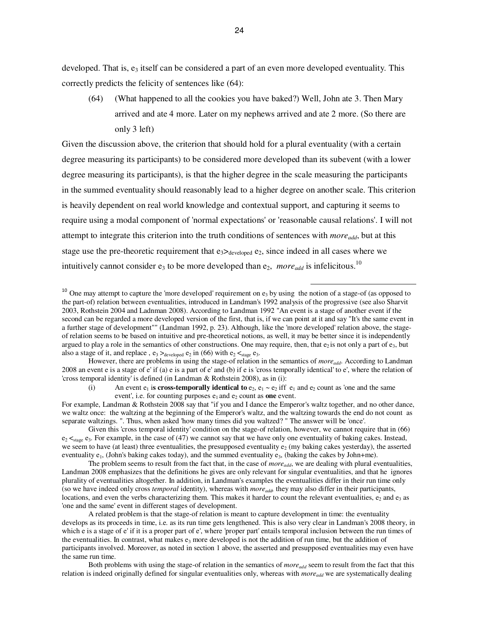developed. That is,  $e_3$  itself can be considered a part of an even more developed eventuality. This correctly predicts the felicity of sentences like (64):

(64) (What happened to all the cookies you have baked?) Well, John ate 3. Then Mary arrived and ate 4 more. Later on my nephews arrived and ate 2 more. (So there are only 3 left)

Given the discussion above, the criterion that should hold for a plural eventuality (with a certain degree measuring its participants) to be considered more developed than its subevent (with a lower degree measuring its participants), is that the higher degree in the scale measuring the participants in the summed eventuality should reasonably lead to a higher degree on another scale. This criterion is heavily dependent on real world knowledge and contextual support, and capturing it seems to require using a modal component of 'normal expectations' or 'reasonable causal relations'. I will not attempt to integrate this criterion into the truth conditions of sentences with *moreadd*, but at this stage use the pre-theoretic requirement that  $e_3$   $\geq$   $\geq$   $\geq$   $\geq$   $\geq$   $\geq$   $\geq$   $\geq$   $\geq$   $\geq$   $\geq$   $\geq$   $\geq$   $\geq$   $\geq$   $\geq$   $\geq$   $\geq$   $\geq$   $\geq$   $\geq$   $\geq$   $\geq$   $\geq$   $\geq$   $\geq$   $\geq$   $\geq$   $\$ intuitively cannot consider  $e_3$  to be more developed than  $e_2$ , *more*<sub>add</sub> is infelicitous.<sup>10</sup>

 $10$  One may attempt to capture the 'more developed' requirement on  $e_3$  by using the notion of a stage-of (as opposed to the part-of) relation between eventualities, introduced in Landman's 1992 analysis of the progressive (see also Sharvit 2003, Rothstein 2004 and Ladnman 2008). According to Landman 1992 "An event is a stage of another event if the second can be regarded a more developed version of the first, that is, if we can point at it and say "It's the same event in a further stage of development"" (Landman 1992, p. 23). Although, like the 'more developed' relation above, the stageof relation seems to be based on intuitive and pre-theoretical notions, as well, it may be better since it is independently argued to play a role in the semantics of other constructions. One may require, then, that  $e_2$  is not only a part of  $e_3$ , but also a stage of it, and replace,  $e_3 >_{\text{developed}} e_2$  in (66) with  $e_2 <_{\text{stage}} e_3$ .

1

 However, there are problems in using the stage-of relation in the semantics of *moreadd*. According to Landman 2008 an event e is a stage of e' if (a) e is a part of e' and (b) if e is 'cross temporally identical' to e', where the relation of 'cross temporal identity' is defined (in Landman & Rothstein 2008), as in (i):

(i) An event  $e_1$  is **cross-temporally identical to**  $e_2$ ,  $e_1 \sim e_2$  iff  $e_1$  and  $e_2$  count as 'one and the same event', i.e. for counting purposes  $e_1$  and  $e_2$  count as **one** event.

For example, Landman & Rothstein 2008 say that "if you and I dance the Emperor's waltz together, and no other dance, we waltz once: the waltzing at the beginning of the Emperor's waltz, and the waltzing towards the end do not count as separate waltzings. ". Thus, when asked 'how many times did you waltzed? " The answer will be 'once'.

Given this 'cross temporal identity' condition on the stage-of relation, however, we cannot require that in (66)  $e_2 \leq_{\text{stage}} e_3$ . For example, in the case of (47) we cannot say that we have only one eventuality of baking cakes. Instead, we seem to have (at least) three eventualities, the presupposed eventuality  $e_2$  (my baking cakes yesterday), the asserted eventuality  $e_1$ , (John's baking cakes today), and the summed eventuality  $e_3$ , (baking the cakes by John+me).

The problem seems to result from the fact that, in the case of *moreadd*, we are dealing with plural eventualities, Landman 2008 emphasizes that the definitions he gives are only relevant for singular eventualities, and that he ignores plurality of eventualities altogether. In addition, in Landman's examples the eventualities differ in their run time only (so we have indeed only cross *temporal* identity), whereas with *moreadd,* they may also differ in their participants, locations, and even the verbs characterizing them. This makes it harder to count the relevant eventualities,  $e_2$  and  $e_3$  as 'one and the same' event in different stages of development.

A related problem is that the stage-of relation is meant to capture development in time: the eventuality develops as its proceeds in time, i.e. as its run time gets lengthened. This is also very clear in Landman's 2008 theory, in which e is a stage of e' if it is a proper part of e', where 'proper part' entails temporal inclusion between the run times of the eventualities. In contrast, what makes  $e_3$  more developed is not the addition of run time, but the addition of participants involved. Moreover, as noted in section 1 above, the asserted and presupposed eventualities may even have the same run time.

Both problems with using the stage-of relation in the semantics of *moreadd* seem to result from the fact that this relation is indeed originally defined for singular eventualities only, whereas with *moreadd* we are systematically dealing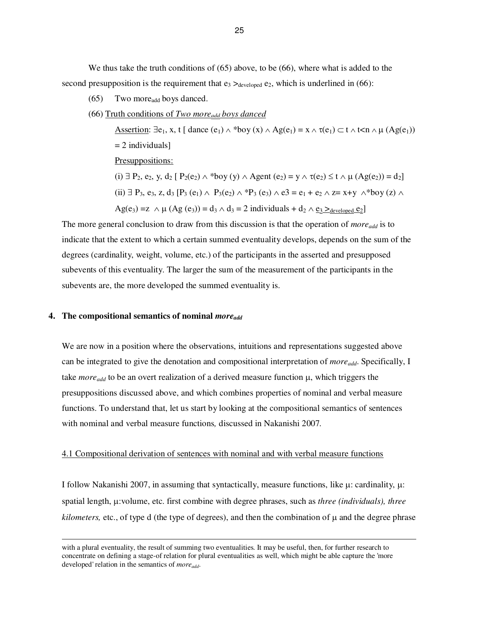We thus take the truth conditions of  $(65)$  above, to be  $(66)$ , where what is added to the second presupposition is the requirement that  $e_3$   $\geq_{\text{developed}} e_2$ , which is underlined in (66):

- (65) Two moreadd boys danced.
- (66) Truth conditions of *Two moreadd boys danced*

Assertion:  $\exists e_1, x, t \mid \text{dance}(e_1) \land \text{*boy}(x) \land \text{Ag}(e_1) = x \land \tau(e_1) \subset t \land \text{t} \land \mu(\text{Ag}(e_1))$  $= 2$  individuals] Presuppositions: (i) ∃ P<sub>2</sub>, e<sub>2</sub>, y, d<sub>2</sub> [ P<sub>2</sub>(e<sub>2</sub>) ∧ \*boy (y) ∧ Agent (e<sub>2</sub>) = y ∧  $\tau$ (e<sub>2</sub>) ≤ t ∧ µ (Ag(e<sub>2</sub>)) = d<sub>2</sub>] (ii) ∃ P<sub>3</sub>, e<sub>3</sub>, z, d<sub>3</sub> [P<sub>3</sub> (e<sub>1</sub>) ∧ P<sub>3</sub>(e<sub>2</sub>) ∧ \*P<sub>3</sub> (e<sub>3</sub>) ∧ e3 = e<sub>1</sub> + e<sub>2</sub> ∧ z= x+y ∧\*boy (z) ∧  $\text{Ag}(e_3) = z \wedge \mu \text{ (Ag (e_3))} = d_3 \wedge d_3 = 2 \text{ individuals } + d_2 \wedge \underline{e_3} \geq_{\text{developed } } \underline{e_2}$ 

The more general conclusion to draw from this discussion is that the operation of *moreadd* is to indicate that the extent to which a certain summed eventuality develops, depends on the sum of the degrees (cardinality, weight, volume, etc.) of the participants in the asserted and presupposed subevents of this eventuality. The larger the sum of the measurement of the participants in the subevents are, the more developed the summed eventuality is.

## **4. The compositional semantics of nominal** *moreadd*

-

We are now in a position where the observations, intuitions and representations suggested above can be integrated to give the denotation and compositional interpretation of *moreadd*. Specifically, I take *more*<sub>add</sub> to be an overt realization of a derived measure function  $\mu$ , which triggers the presuppositions discussed above, and which combines properties of nominal and verbal measure functions. To understand that, let us start by looking at the compositional semantics of sentences with nominal and verbal measure functions*,* discussed in Nakanishi 2007*.*

# 4.1 Compositional derivation of sentences with nominal and with verbal measure functions

I follow Nakanishi 2007, in assuming that syntactically, measure functions, like  $\mu$ : cardinality,  $\mu$ : spatial length, µ:volume, etc. first combine with degree phrases, such as *three (individuals), three kilometers,* etc., of type d (the type of degrees), and then the combination of  $\mu$  and the degree phrase

with a plural eventuality, the result of summing two eventualities*.* It may be useful, then, for further research to concentrate on defining a stage-of relation for plural eventualities as well, which might be able capture the 'more developed' relation in the semantics of *moreadd*.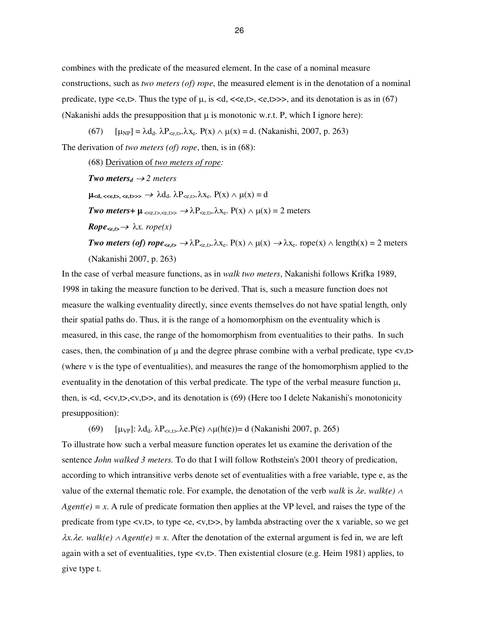combines with the predicate of the measured element. In the case of a nominal measure constructions, such as *two meters (of) rope*, the measured element is in the denotation of a nominal predicate, type  $\langle e, t \rangle$ . Thus the type of  $\mu$ , is  $\langle d, \langle \langle e, t \rangle, \langle e, t \rangle \rangle$ , and its denotation is as in (67) (Nakanishi adds the presupposition that  $\mu$  is monotonic w.r.t. P, which I ignore here):

(67)  $[\mu_{NP}] = \lambda d_d$ .  $\lambda P_{\leq \epsilon, t > \lambda} \lambda x_{\epsilon}$ .  $P(x) \wedge \mu(x) = d$ . (Nakanishi, 2007, p. 263)

The derivation of *two meters (of) rope*, then, is in (68):

(68) Derivation of *two meters of rope: Two meters<sub>d</sub>*  $\rightarrow$  2 *meters*  $\mu_{\leq d, \leq \leq \leq t} \leq \leq \infty$   $\lambda d_d$ .  $\lambda P_{\leq \epsilon, t} \lambda x_e$ .  $P(x) \wedge \mu(x) = d$ *Two meters*+  $\mu \ll_{e,t>\leq e,t>\neq 0}$   $\rightarrow \lambda P_{\leq e,t>\lambda}$   $X_e$ .  $P(x) \wedge \mu(x) = 2$  meters  $Rope_{\leq e,t} \rightarrow \lambda x$ . rope(x) *Two meters (of) rope<sub><e,t></sub>*  $\rightarrow \lambda P_{\leq e, t}$ . $\lambda x_e$ .  $P(x) \wedge \mu(x) \rightarrow \lambda x_e$ . rope(x)  $\wedge$  length(x) = 2 meters (Nakanishi 2007, p. 263)

In the case of verbal measure functions, as in *walk two meters*, Nakanishi follows Krifka 1989, 1998 in taking the measure function to be derived. That is, such a measure function does not measure the walking eventuality directly, since events themselves do not have spatial length, only their spatial paths do. Thus, it is the range of a homomorphism on the eventuality which is measured, in this case, the range of the homomorphism from eventualities to their paths. In such cases, then, the combination of  $\mu$  and the degree phrase combine with a verbal predicate, type  $\langle v, t \rangle$ (where v is the type of eventualities), and measures the range of the homomorphism applied to the eventuality in the denotation of this verbal predicate. The type of the verbal measure function  $\mu$ , then, is  $d, \langle x, t \rangle, \langle y, t \rangle$ , and its denotation is (69) (Here too I delete Nakanishi's monotonicity presupposition):

(69)  $[\mu_{VP}]$ :  $\lambda d_d$ .  $\lambda P_{\text{sv},t}$ .  $\lambda e \cdot P(e) \wedge \mu(h(e)) = d$  (Nakanishi 2007, p. 265)

To illustrate how such a verbal measure function operates let us examine the derivation of the sentence *John walked 3 meters.* To do that I will follow Rothstein's 2001 theory of predication, according to which intransitive verbs denote set of eventualities with a free variable, type e, as the value of the external thematic role. For example, the denotation of the verb *walk* is λ*e. walk(e)* <sup>∧</sup>  $Agent(e) = x$ . A rule of predicate formation then applies at the VP level, and raises the type of the predicate from type  $\langle v, t \rangle$ , to type  $\langle v, t \rangle$ , by lambda abstracting over the x variable, so we get  $\lambda x.\lambda e$ . walk(e)  $\land$  Agent(e) = x. After the denotation of the external argument is fed in, we are left again with a set of eventualities, type <v,t>. Then existential closure (e.g. Heim 1981) applies, to give type t.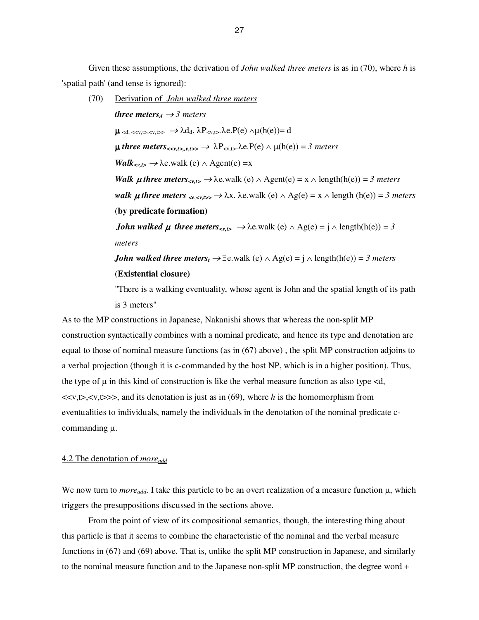Given these assumptions, the derivation of *John walked three meters* is as in (70), where *h* is 'spatial path' (and tense is ignored):

 (70) Derivation of *John walked three meters three meters<sub>d</sub>*  $\rightarrow$  3 *meters*  $\mu_{\leq d, \leq \leq v, t\geq v, t\geq v} \rightarrow \lambda d_d, \lambda P_{\leq v, t\geq v} \lambda e P(e) \wedge \mu(h(e)) = d$  $\mu$  three meters<sub><sv,t>,v,t>></sub>  $\rightarrow \lambda P_{\leq v,t>}$ , $\lambda$ e. $P(e) \wedge \mu(h(e)) = 3$  meters  $Walk<sub>*v,t>* \rightarrow \lambda</sub>$ e.walk (e) ∧ Agent(e) =x *Walk µ* three meters<sub>sx,t></sub>  $\rightarrow \lambda$ e.walk (e)  $\land$  Agent(e) = x  $\land$  length(h(e)) = 3 meters *walk µ* three meters  $\langle e, \langle x, t \rangle \rangle \rightarrow \lambda x$ .  $\lambda e$ . walk (e)  $\land$  Ag(e) = x  $\land$  length (h(e)) = 3 meters (**by predicate formation)**  *John walked*  $\mu$  *three meters*<sub> $\langle v, t \rangle \rightarrow \lambda$ e.walk (e)  $\land$  Ag(e) =  $\hat{j} \land$  length(h(e)) = 3</sub> *meters John walked three meters<sub>t</sub>*  $\rightarrow \exists$ e.walk (e)  $\land$  Ag(e) = *j*  $\land$  length(h(e)) = *3 meters* (**Existential closure)** 

"There is a walking eventuality, whose agent is John and the spatial length of its path is 3 meters"

As to the MP constructions in Japanese, Nakanishi shows that whereas the non-split MP construction syntactically combines with a nominal predicate, and hence its type and denotation are equal to those of nominal measure functions (as in (67) above) , the split MP construction adjoins to a verbal projection (though it is c-commanded by the host NP, which is in a higher position). Thus, the type of  $\mu$  in this kind of construction is like the verbal measure function as also type <d,  $\langle x, t \rangle, \langle y, t \rangle \rangle$ , and its denotation is just as in (69), where *h* is the homomorphism from eventualities to individuals, namely the individuals in the denotation of the nominal predicate ccommanding µ.

## 4.2 The denotation of *moreadd*

We now turn to *moreadd*. I take this particle to be an overt realization of a measure function µ, which triggers the presuppositions discussed in the sections above.

 From the point of view of its compositional semantics, though, the interesting thing about this particle is that it seems to combine the characteristic of the nominal and the verbal measure functions in (67) and (69) above. That is, unlike the split MP construction in Japanese, and similarly to the nominal measure function and to the Japanese non-split MP construction, the degree word +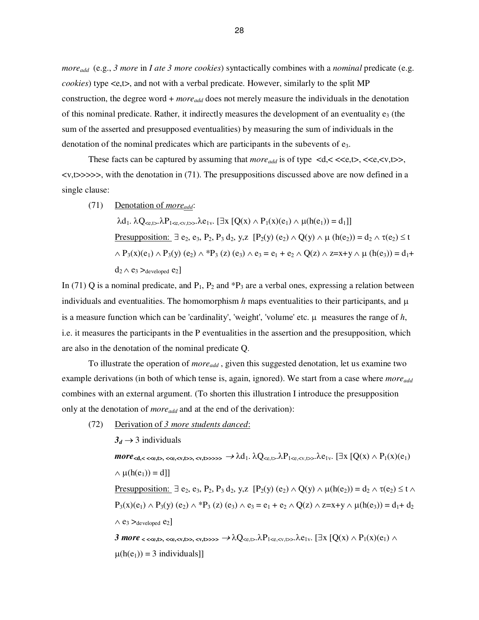*moreadd* (e.g., *3 more* in *I ate 3 more cookies*) syntactically combines with a *nominal* predicate (e.g. *cookies*) type <e,t>, and not with a verbal predicate. However, similarly to the split MP construction, the degree word + *moreadd* does not merely measure the individuals in the denotation of this nominal predicate. Rather, it indirectly measures the development of an eventuality  $e_3$  (the sum of the asserted and presupposed eventualities) by measuring the sum of individuals in the denotation of the nominal predicates which are participants in the subevents of  $e_3$ .

These facts can be captured by assuming that  $more_{add}$  is of type  $\langle d, \langle \langle \langle \langle \langle \cdot, \langle \cdot \rangle \rangle \rangle, \langle \langle \langle \cdot \rangle \rangle \rangle \rangle)$  $\langle v, t \rangle \rangle \rangle \rangle$ , with the denotation in (71). The presuppositions discussed above are now defined in a single clause:

(71) Denotation of *moreadd*:

 $λd_1$ .  $λQ_{\leq e, t>}$ , $λP_{1\leq e, \leq v, t>}$ , $λe_{1v}$ . [∃x [Q(x) ∧ P<sub>1</sub>(x)(e<sub>1</sub>) ∧ μ(h(e<sub>1</sub>)) = d<sub>1</sub>]] Presupposition:  $\exists$  e<sub>2</sub>, e<sub>3</sub>, P<sub>2</sub>, P<sub>3</sub> d<sub>2</sub>, y,z  $[P_2(y) (e_2) \wedge Q(y) \wedge \mu(h(e_2)) = d_2 \wedge \tau(e_2) \le t$  $\wedge$  P<sub>3</sub>(x)(e<sub>1</sub>)  $\wedge$  P<sub>3</sub>(y) (e<sub>2</sub>)  $\wedge$  \*P<sub>3</sub> (z) (e<sub>3</sub>)  $\wedge$  e<sub>3</sub> = e<sub>1</sub> + e<sub>2</sub>  $\wedge$  Q(z)  $\wedge$  z=x+y  $\wedge$  µ (h(e<sub>3</sub>)) = d<sub>1</sub>+  $d_2 \wedge e_3 >_{\text{developed}} e_2$ 

In (71) Q is a nominal predicate, and  $P_1$ ,  $P_2$  and  $P_3$  are a verbal ones, expressing a relation between individuals and eventualities. The homomorphism  $h$  maps eventualities to their participants, and  $\mu$ is a measure function which can be 'cardinality', 'weight', 'volume' etc.  $\mu$  measures the range of  $h$ , i.e. it measures the participants in the P eventualities in the assertion and the presupposition, which are also in the denotation of the nominal predicate Q.

 To illustrate the operation of *moreadd* , given this suggested denotation, let us examine two example derivations (in both of which tense is, again, ignored). We start from a case where *moreadd* combines with an external argument. (To shorten this illustration I introduce the presupposition only at the denotation of *moreadd* and at the end of the derivation):

(72) Derivation of *3 more students danced*:

 $3_d \rightarrow 3$  individuals  $\textit{more}_{\textit{sd},\textit{c}} \leq \text{c}_{\textit{e},\textit{f}} \leq \text{c}_{\textit{e},\textit{c}} \leq \text{c}_{\textit{v},\textit{t}} \leq \text{c}_{\textit{v},\textit{t}} \geq \lambda d_1 \cdot \lambda Q_{\textit{c},\textit{t}} \lambda P_{1\textit{c},\textit{c},\textit{v},\textit{t}} \lambda e_{1\textit{v}}$  [ $\exists x \ [\ Q(x) \wedge P_1(x)(e_1)$  $\wedge \mu(h(e_1)) = d$ ] Presupposition:  $\exists e_2, e_3, P_2, P_3, d_2, y, z \ [P_2(y) (e_2) \wedge Q(y) \wedge \mu(h(e_2)) = d_2 \wedge \tau(e_2) \leq t \wedge$  $P_3(x)(e_1) \wedge P_3(y)(e_2) \wedge {}^*P_3(z)(e_3) \wedge e_3 = e_1 + e_2 \wedge Q(z) \wedge z = x + y \wedge \mu(h(e_3)) = d_1 + d_2$  $\wedge$  e<sub>3</sub> >developed e<sub>2</sub>]  $3$  more  $\lt$   $\lt$   $\lt$   $\lt$ e,t $\lt$ ,  $\lt$ e, $\lt$ v,t $\gt$  $\gt$ ,  $\lt$ v,t $\gt$  $\gt$  $\lambda Q_{\lt$ e,t $\gt$ . $\lambda P_{1\lt$ e, $\lt$ v,t $\gt$  $\lambda P_{1\vee}$ . [ $\exists x$  [Q(x)  $\land$   $P_1(x)(e_1)$   $\land$  $\mu(h(e_1)) = 3$  individuals]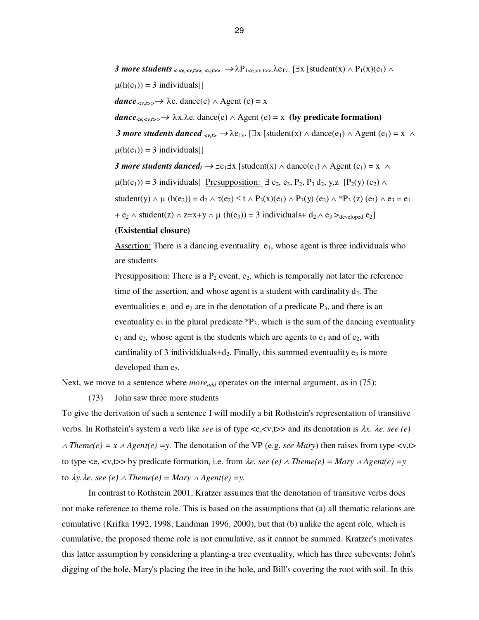*3 more students*  $\langle \langle \langle \langle \cdot \rangle \rangle \rangle \langle \langle \cdot \rangle \rangle \langle \langle \cdot \rangle \rangle \rightarrow \lambda P_{1\langle \langle \langle \cdot \rangle \rangle} \lambda P_{1\langle \cdot \rangle} \langle \cdot \rangle \lambda P_{1\langle \cdot \rangle}$  [student(x)  $\wedge P_1(x)(e_1)$   $\wedge$  $\mu(h(e_1)) = 3$  individuals]

 $dance \ll_{v,t>>}\rightarrow \lambda e$ . dance(e)  $\wedge$  Agent (e) = x

 $dance_{\leq e, \leq v, t\geq 0}$   $\rightarrow \lambda x. \lambda e.$  dance(e)  $\land$  Agent (e) = x (by predicate formation)

*3 more students danced*  $\langle v, t \rangle \to \lambda e_{1v}$ . [∃x [student(x)  $\wedge$  dance(e<sub>1</sub>)  $\wedge$  Agent (e<sub>1</sub>) = x  $\wedge$  $\mu(h(e_1)) = 3$  individuals]]

*3 more students danced<sub>t</sub>*  $\rightarrow \exists e_1 \exists x$  [student(x)  $\land$  dance(e<sub>1</sub>)  $\land$  Agent (e<sub>1</sub>) = x  $\land$  $\mu(h(e_1)) = 3$  individuals] Presupposition:  $\exists e_2, e_3, P_2, P_3 d_2, y, z \quad [P_2(y) (e_2) \land$ student(y)  $\wedge \mu$  (h(e<sub>2</sub>)) = d<sub>2</sub>  $\wedge \tau$ (e<sub>2</sub>) ≤ t  $\wedge$  P<sub>3</sub>(x)(e<sub>1</sub>)  $\wedge$  P<sub>3</sub>(y) (e<sub>2</sub>)  $\wedge$  \*P<sub>3</sub> (z) (e<sub>3</sub>)  $\wedge$  e<sub>3</sub> = e<sub>1</sub> +  $e_2 \wedge$  student(z)  $\wedge$  z=x+y  $\wedge \mu$  (h(e<sub>3</sub>)) = 3 individuals+ d<sub>2</sub>  $\wedge$  e<sub>3</sub> ><sub>developed</sub> e<sub>2</sub>]

#### **(Existential closure)**

Assertion: There is a dancing eventuality  $e_1$ , whose agent is three individuals who are students

Presupposition: There is a  $P_2$  event,  $e_2$ , which is temporally not later the reference time of the assertion, and whose agent is a student with cardinality  $d_2$ . The eventualities  $e_1$  and  $e_2$  are in the denotation of a predicate  $P_3$ , and there is an eventuality  $e_3$  in the plural predicate  $P_3$ , which is the sum of the dancing eventuality  $e_1$  and  $e_2$ , whose agent is the students which are agents to  $e_1$  and of  $e_2$ , with cardinality of 3 individiduals+d<sub>2</sub>. Finally, this summed eventuality  $e_3$  is more developed than  $e_2$ .

Next, we move to a sentence where *more*<sub>add</sub> operates on the internal argument, as in (75):

(73) John saw three more students

To give the derivation of such a sentence I will modify a bit Rothstein's representation of transitive verbs. In Rothstein's system a verb like *see* is of type <e,<v,t>> and its denotation is λ*x.* λ*e. see (e)*  <sup>∧</sup> *Theme(e) = x* ∧ *Agent(e) =y*. The denotation of the VP (e.g. *see Mary*) then raises from type <v,t> to type <e, <v,t>> by predicate formation, i.e. from  $\lambda e$ . see (e)  $\land$  Theme(e) = Mary  $\land$  Agent(e) =y to  $\lambda y.\lambda e$ *. see* (e)  $\wedge$  *Theme*(e) = *Mary*  $\wedge$  *Agent*(e) = *y*.

 In contrast to Rothstein 2001, Kratzer assumes that the denotation of transitive verbs does not make reference to theme role. This is based on the assumptions that (a) all thematic relations are cumulative (Krifka 1992, 1998, Landman 1996, 2000), but that (b) unlike the agent role, which is cumulative, the proposed theme role is not cumulative, as it cannot be summed. Kratzer's motivates this latter assumption by considering a planting-a tree eventuality, which has three subevents: John's digging of the hole, Mary's placing the tree in the hole, and Bill's covering the root with soil. In this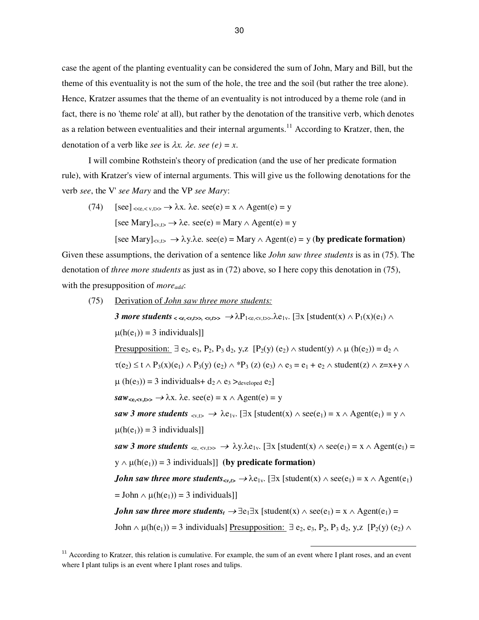case the agent of the planting eventuality can be considered the sum of John, Mary and Bill, but the theme of this eventuality is not the sum of the hole, the tree and the soil (but rather the tree alone). Hence, Kratzer assumes that the theme of an eventuality is not introduced by a theme role (and in fact, there is no 'theme role' at all), but rather by the denotation of the transitive verb, which denotes as a relation between eventualities and their internal arguments.<sup>11</sup> According to Kratzer, then, the denotation of a verb like *see* is  $\lambda x$ .  $\lambda e$ *. see* (*e*) = *x*.

 I will combine Rothstein's theory of predication (and the use of her predicate formation rule), with Kratzer's view of internal arguments. This will give us the following denotations for the verb *see*, the V' *see Mary* and the VP *see Mary*:

(74)  $[\text{see}]_{\leq\leq e,\leq v,t\geq\rangle} \rightarrow \lambda x. \lambda e. \text{ see}(e) = x \wedge \text{Agent}(e) = y$ [see Mary]<sub> $\langle x,t \rangle \rightarrow \lambda e$ . see(e) = Mary  $\wedge$  Agent(e) = y</sub>  $[\text{see Mary}]_{\text{y,b}} \rightarrow \lambda \text{y.b.} \text{ see}(e) = \text{Mary} \wedge \text{Agent}(e) = \text{y (by predicate formation)}$ 

Given these assumptions, the derivation of a sentence like *John saw three students* is as in (75). The denotation of *three more students* as just as in (72) above, so I here copy this denotation in (75), with the presupposition of *moreadd*:

 (75) Derivation of *John saw three more students: 3 more students < <e,<v,t>>, <v,t>>* <sup>→</sup> λP1<e,<v,t>>.λe1v. [∃x [student(x) ∧ P1(x)(e1) ∧ µ(h(e1)) = 3 individuals]] Presupposition: ∃ e2, e3, P2, P3 d2, y,z [P2(y) (e2) ∧ student(y) ∧ µ (h(e2)) = d<sup>2</sup> ∧ τ(e2) ≤ t ∧ P3(x)(e1) ∧ P3(y) (e2) ∧ \*P3 (z) (e3) ∧ e3 = e1 + e<sup>2</sup> ∧ student(z) ∧ z=x+y ∧ µ (h(e3)) = 3 individuals+ d2 ∧ e3 >developed e2] *saw***<e,<v,t>>** <sup>→</sup> λx. λe. see(e) = x ∧ Agent(e) = y *saw 3 more students* <v,t> <sup>→</sup> λe1v. [∃x [student(x) ∧ see(e1) = x ∧ Agent(e1) = y ∧ µ(h(e1)) = 3 individuals]] *saw 3 more students* <e, <v,t>> <sup>→</sup> λy.λe1v. [∃x [student(x) ∧ see(e1) = x ∧ Agent(e1) = y ∧ µ(h(e1)) = 3 individuals]] **(by predicate formation)**  *John saw three more students<v,t>* <sup>→</sup> λe1v. [∃x [student(x) ∧ see(e1) = x ∧ Agent(e1) = John ∧ µ(h(e1)) = 3 individuals]] *John saw three more students<sup>t</sup>* <sup>→</sup> ∃e1∃x [student(x) ∧ see(e1) = x ∧ Agent(e1) = John ∧ µ(h(e1)) = 3 individuals] Presupposition: ∃ e2, e3, P2, P3 d2, y,z [P2(y) (e2) ∧

 $\overline{a}$ 

 $11$  According to Kratzer, this relation is cumulative. For example, the sum of an event where I plant roses, and an event where I plant tulips is an event where I plant roses and tulips.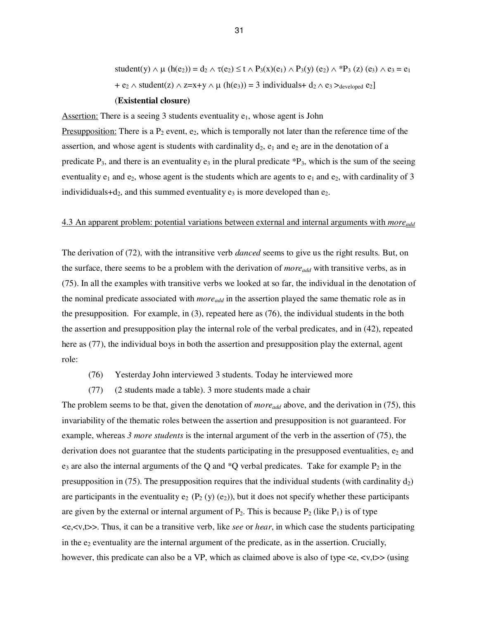student(y)  $\wedge \mu$  (h(e<sub>2</sub>)) = d<sub>2</sub>  $\wedge \tau$ (e<sub>2</sub>) ≤ t  $\wedge$  P<sub>3</sub>(x)(e<sub>1</sub>)  $\wedge$  P<sub>3</sub>(y) (e<sub>2</sub>)  $\wedge$  \*P<sub>3</sub> (z) (e<sub>3</sub>)  $\wedge$  e<sub>3</sub> = e<sub>1</sub> + e<sub>2</sub>  $\land$  student(z)  $\land$  z=x+y  $\land$   $\mu$  (h(e<sub>3</sub>)) = 3 individuals+ d<sub>2</sub> $\land$  e<sub>3</sub> $>$ <sub>developed</sub> e<sub>2</sub>]

# (**Existential closure)**

Assertion: There is a seeing 3 students eventuality  $e_1$ , whose agent is John

Presupposition: There is a  $P_2$  event,  $e_2$ , which is temporally not later than the reference time of the assertion, and whose agent is students with cardinality  $d_2$ ,  $e_1$  and  $e_2$  are in the denotation of a predicate  $P_3$ , and there is an eventuality  $e_3$  in the plural predicate  $P_3$ , which is the sum of the seeing eventuality  $e_1$  and  $e_2$ , whose agent is the students which are agents to  $e_1$  and  $e_2$ , with cardinality of 3 individiduals+d<sub>2</sub>, and this summed eventuality  $e_3$  is more developed than  $e_2$ .

## 4.3 An apparent problem: potential variations between external and internal arguments with *moreadd*

The derivation of (72), with the intransitive verb *danced* seems to give us the right results. But, on the surface, there seems to be a problem with the derivation of *moreadd* with transitive verbs, as in (75). In all the examples with transitive verbs we looked at so far, the individual in the denotation of the nominal predicate associated with *more*<sub>add</sub> in the assertion played the same thematic role as in the presupposition. For example, in (3), repeated here as (76), the individual students in the both the assertion and presupposition play the internal role of the verbal predicates, and in (42), repeated here as (77), the individual boys in both the assertion and presupposition play the external, agent role:

- (76) Yesterday John interviewed 3 students. Today he interviewed more
- (77) (2 students made a table). 3 more students made a chair

The problem seems to be that, given the denotation of *more*<sub>add</sub> above, and the derivation in (75), this invariability of the thematic roles between the assertion and presupposition is not guaranteed. For example, whereas *3 more students* is the internal argument of the verb in the assertion of (75), the derivation does not guarantee that the students participating in the presupposed eventualities,  $e_2$  and  $e_3$  are also the internal arguments of the Q and  $^*Q$  verbal predicates. Take for example  $P_2$  in the presupposition in (75). The presupposition requires that the individual students (with cardinality  $d_2$ ) are participants in the eventuality  $e_2$  (P<sub>2</sub> (y) (e<sub>2</sub>)), but it does not specify whether these participants are given by the external or internal argument of  $P_2$ . This is because  $P_2$  (like  $P_1$ ) is of type <e,<v,t>>. Thus, it can be a transitive verb, like *see* or *hear*, in which case the students participating in the  $e_2$  eventuality are the internal argument of the predicate, as in the assertion. Crucially, however, this predicate can also be a VP, which as claimed above is also of type  $\langle e, \langle v, t \rangle$  (using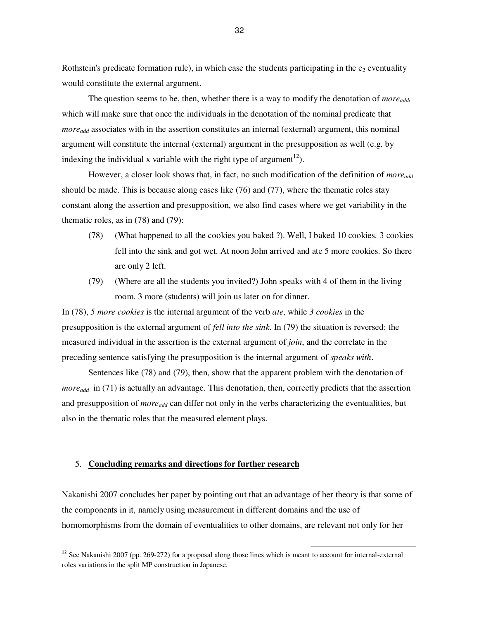Rothstein's predicate formation rule), in which case the students participating in the  $e_2$  eventuality would constitute the external argument.

The question seems to be, then, whether there is a way to modify the denotation of *moreadd,* which will make sure that once the individuals in the denotation of the nominal predicate that *moreadd* associates with in the assertion constitutes an internal (external) argument, this nominal argument will constitute the internal (external) argument in the presupposition as well (e.g. by indexing the individual x variable with the right type of argument<sup>12</sup>).

 However, a closer look shows that, in fact, no such modification of the definition of *moreadd* should be made. This is because along cases like (76) and (77), where the thematic roles stay constant along the assertion and presupposition, we also find cases where we get variability in the thematic roles, as in (78) and (79):

- (78) (What happened to all the cookies you baked ?). Well, I baked 10 cookies. 3 cookies fell into the sink and got wet. At noon John arrived and ate 5 more cookies. So there are only 2 left.
- (79) (Where are all the students you invited?) John speaks with 4 of them in the living room. 3 more (students) will join us later on for dinner.

In (78), *5 more cookies* is the internal argument of the verb *ate*, while *3 cookies* in the presupposition is the external argument of *fell into the sink*. In (79) the situation is reversed: the measured individual in the assertion is the external argument of *join*, and the correlate in the preceding sentence satisfying the presupposition is the internal argument of *speaks with*.

 Sentences like (78) and (79), then, show that the apparent problem with the denotation of *more*<sub>add</sub> in (71) is actually an advantage. This denotation, then, correctly predicts that the assertion and presupposition of *moreadd* can differ not only in the verbs characterizing the eventualities, but also in the thematic roles that the measured element plays.

# 5. **Concluding remarks and directions for further research**

Nakanishi 2007 concludes her paper by pointing out that an advantage of her theory is that some of the components in it, namely using measurement in different domains and the use of homomorphisms from the domain of eventualities to other domains, are relevant not only for her

 $\overline{a}$ 

<sup>&</sup>lt;sup>12</sup> See Nakanishi 2007 (pp. 269-272) for a proposal along those lines which is meant to account for internal-external roles variations in the split MP construction in Japanese.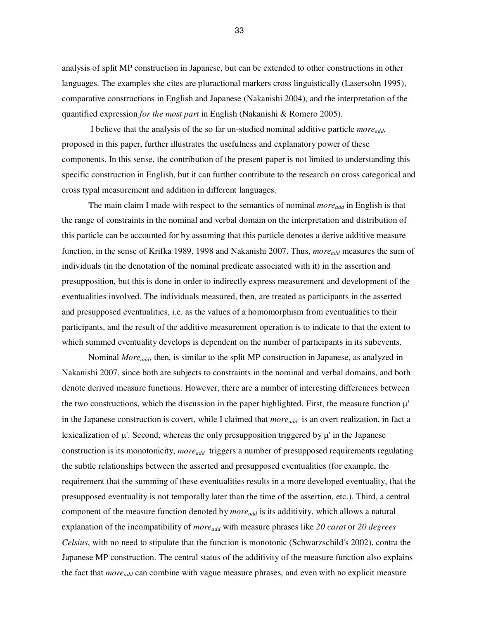analysis of split MP construction in Japanese, but can be extended to other constructions in other languages. The examples she cites are pluractional markers cross linguistically (Lasersohn 1995), comparative constructions in English and Japanese (Nakanishi 2004), and the interpretation of the quantified expression *for the most part* in English (Nakanishi & Romero 2005).

 I believe that the analysis of the so far un-studied nominal additive particle *moreadd*, proposed in this paper, further illustrates the usefulness and explanatory power of these components. In this sense, the contribution of the present paper is not limited to understanding this specific construction in English, but it can further contribute to the research on cross categorical and cross typal measurement and addition in different languages.

The main claim I made with respect to the semantics of nominal *more*<sub>add</sub> in English is that the range of constraints in the nominal and verbal domain on the interpretation and distribution of this particle can be accounted for by assuming that this particle denotes a derive additive measure function, in the sense of Krifka 1989, 1998 and Nakanishi 2007. Thus, *moreadd* measures the sum of individuals (in the denotation of the nominal predicate associated with it) in the assertion and presupposition, but this is done in order to indirectly express measurement and development of the eventualities involved. The individuals measured, then, are treated as participants in the asserted and presupposed eventualities, i.e. as the values of a homomorphism from eventualities to their participants, and the result of the additive measurement operation is to indicate to that the extent to which summed eventuality develops is dependent on the number of participants in its subevents.

 Nominal *Moreadd*, then, is similar to the split MP construction in Japanese, as analyzed in Nakanishi 2007, since both are subjects to constraints in the nominal and verbal domains, and both denote derived measure functions. However, there are a number of interesting differences between the two constructions, which the discussion in the paper highlighted. First, the measure function  $\mu'$ in the Japanese construction is covert, while I claimed that *moreadd* is an overt realization, in fact a lexicalization of  $\mu'$ . Second, whereas the only presupposition triggered by  $\mu'$  in the Japanese construction is its monotonicity, *moreadd* triggers a number of presupposed requirements regulating the subtle relationships between the asserted and presupposed eventualities (for example, the requirement that the summing of these eventualities results in a more developed eventuality, that the presupposed eventuality is not temporally later than the time of the assertion, etc.). Third, a central component of the measure function denoted by *moreadd* is its additivity, which allows a natural explanation of the incompatibility of *moreadd* with measure phrases like *20 carat* or *20 degrees Celsius*, with no need to stipulate that the function is monotonic (Schwarzschild's 2002), contra the Japanese MP construction. The central status of the additivity of the measure function also explains the fact that *moreadd* can combine with vague measure phrases, and even with no explicit measure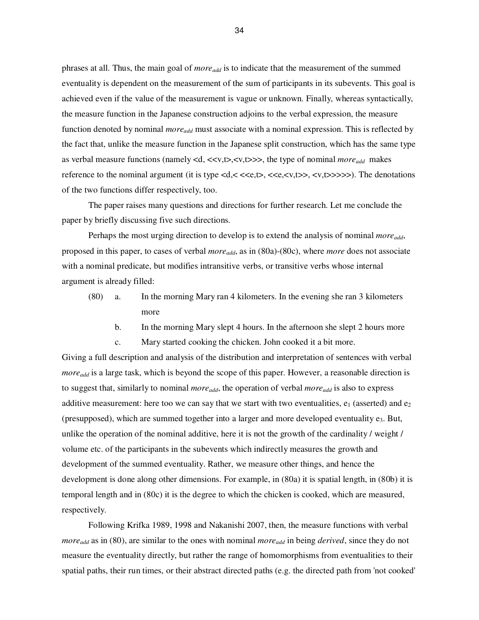phrases at all. Thus, the main goal of *moreadd* is to indicate that the measurement of the summed eventuality is dependent on the measurement of the sum of participants in its subevents. This goal is achieved even if the value of the measurement is vague or unknown. Finally, whereas syntactically, the measure function in the Japanese construction adjoins to the verbal expression, the measure function denoted by nominal *more*<sub>add</sub> must associate with a nominal expression. This is reflected by the fact that, unlike the measure function in the Japanese split construction, which has the same type as verbal measure functions (namely <d, <<v,t>,<v,t>>>, the type of nominal *moreadd* makes reference to the nominal argument (it is type  $\langle d, \langle \langle \langle e, t \rangle, \langle \langle e, \langle v, t \rangle \rangle, \langle v, t \rangle \rangle)$ ). The denotations of the two functions differ respectively, too.

 The paper raises many questions and directions for further research. Let me conclude the paper by briefly discussing five such directions.

 Perhaps the most urging direction to develop is to extend the analysis of nominal *moreadd*, proposed in this paper, to cases of verbal *moreadd*, as in (80a)-(80c), where *more* does not associate with a nominal predicate, but modifies intransitive verbs, or transitive verbs whose internal argument is already filled:

- (80) a. In the morning Mary ran 4 kilometers. In the evening she ran 3 kilometers more
	- b. In the morning Mary slept 4 hours. In the afternoon she slept 2 hours more

c. Mary started cooking the chicken. John cooked it a bit more.

Giving a full description and analysis of the distribution and interpretation of sentences with verbal *more*<sub>add</sub> is a large task, which is beyond the scope of this paper. However, a reasonable direction is to suggest that, similarly to nominal *moreadd*, the operation of verbal *moreadd* is also to express additive measurement: here too we can say that we start with two eventualities,  $e_1$  (asserted) and  $e_2$ (presupposed), which are summed together into a larger and more developed eventuality  $e_3$ . But, unlike the operation of the nominal additive, here it is not the growth of the cardinality / weight / volume etc. of the participants in the subevents which indirectly measures the growth and development of the summed eventuality. Rather, we measure other things, and hence the development is done along other dimensions. For example, in (80a) it is spatial length, in (80b) it is temporal length and in (80c) it is the degree to which the chicken is cooked, which are measured, respectively.

Following Krifka 1989, 1998 and Nakanishi 2007, then, the measure functions with verbal *moreadd* as in (80), are similar to the ones with nominal *moreadd* in being *derived*, since they do not measure the eventuality directly, but rather the range of homomorphisms from eventualities to their spatial paths, their run times, or their abstract directed paths (e.g. the directed path from 'not cooked'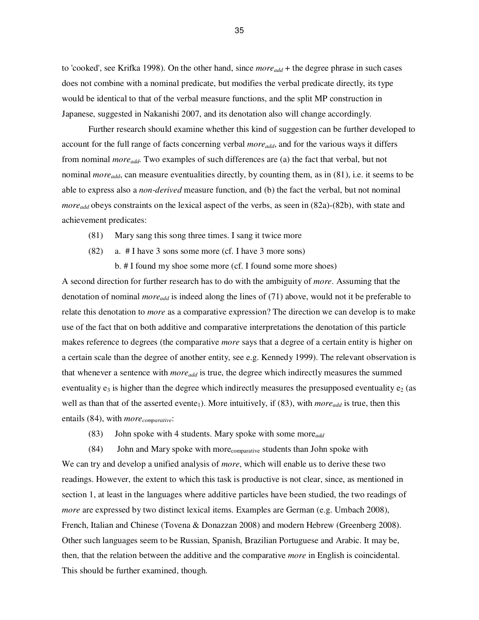to 'cooked', see Krifka 1998). On the other hand, since *moreadd* + the degree phrase in such cases does not combine with a nominal predicate, but modifies the verbal predicate directly, its type would be identical to that of the verbal measure functions, and the split MP construction in Japanese, suggested in Nakanishi 2007, and its denotation also will change accordingly.

 Further research should examine whether this kind of suggestion can be further developed to account for the full range of facts concerning verbal *moreadd*, and for the various ways it differs from nominal *moreadd.* Two examples of such differences are (a) the fact that verbal, but not nominal *moreadd*, can measure eventualities directly, by counting them, as in (81), i.e. it seems to be able to express also a *non-derived* measure function, and (b) the fact the verbal, but not nominal *moreadd* obeys constraints on the lexical aspect of the verbs, as seen in (82a)-(82b), with state and achievement predicates:

- (81) Mary sang this song three times. I sang it twice more
- (82) a. # I have 3 sons some more (cf. I have 3 more sons)

b. # I found my shoe some more (cf. I found some more shoes)

A second direction for further research has to do with the ambiguity of *more*. Assuming that the denotation of nominal *moreadd* is indeed along the lines of (71) above, would not it be preferable to relate this denotation to *more* as a comparative expression? The direction we can develop is to make use of the fact that on both additive and comparative interpretations the denotation of this particle makes reference to degrees (the comparative *more* says that a degree of a certain entity is higher on a certain scale than the degree of another entity, see e.g. Kennedy 1999). The relevant observation is that whenever a sentence with *moreadd* is true, the degree which indirectly measures the summed eventuality  $e_3$  is higher than the degree which indirectly measures the presupposed eventuality  $e_2$  (as well as than that of the asserted evente<sub>1</sub>). More intuitively, if (83), with *more*<sub>add</sub> is true, then this entails (84), with *morecomparative*:

(83) John spoke with 4 students. Mary spoke with some more*add* 

 (84) John and Mary spoke with morecomparative students than John spoke with We can try and develop a unified analysis of *more*, which will enable us to derive these two readings. However, the extent to which this task is productive is not clear, since, as mentioned in section 1, at least in the languages where additive particles have been studied, the two readings of *more* are expressed by two distinct lexical items. Examples are German (e.g. Umbach 2008), French, Italian and Chinese (Tovena & Donazzan 2008) and modern Hebrew (Greenberg 2008). Other such languages seem to be Russian, Spanish, Brazilian Portuguese and Arabic. It may be, then, that the relation between the additive and the comparative *more* in English is coincidental. This should be further examined, though.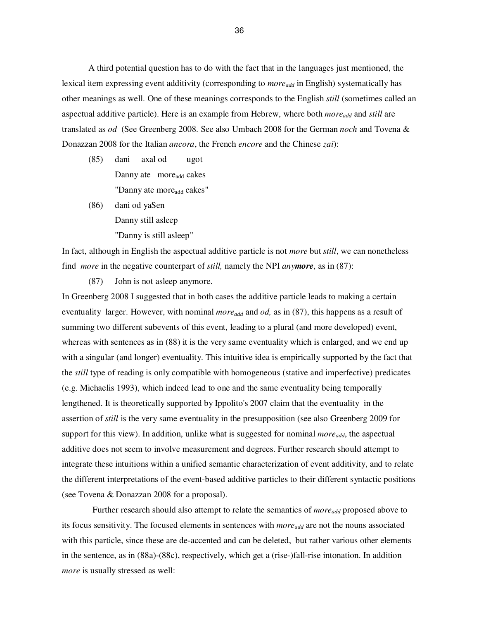A third potential question has to do with the fact that in the languages just mentioned, the lexical item expressing event additivity (corresponding to *moreadd* in English) systematically has other meanings as well. One of these meanings corresponds to the English *still* (sometimes called an aspectual additive particle). Here is an example from Hebrew, where both *moreadd* and *still* are translated as *od* (See Greenberg 2008. See also Umbach 2008 for the German *noch* and Tovena & Donazzan 2008 for the Italian *ancora*, the French *encore* and the Chinese *zai*):

- (85) dani axal od ugot Danny ate more<sub>add</sub> cakes "Danny ate more<sub>add</sub> cakes"
- (86) dani od yaSen Danny still asleep "Danny is still asleep"

In fact, although in English the aspectual additive particle is not *more* but *still*, we can nonetheless find *more* in the negative counterpart of *still,* namely the NPI *anymore*, as in (87):

(87) John is not asleep anymore.

In Greenberg 2008 I suggested that in both cases the additive particle leads to making a certain eventuality larger. However, with nominal *more*<sub>add</sub> and *od*, as in (87), this happens as a result of summing two different subevents of this event, leading to a plural (and more developed) event, whereas with sentences as in (88) it is the very same eventuality which is enlarged, and we end up with a singular (and longer) eventuality. This intuitive idea is empirically supported by the fact that the *still* type of reading is only compatible with homogeneous (stative and imperfective) predicates (e.g. Michaelis 1993), which indeed lead to one and the same eventuality being temporally lengthened. It is theoretically supported by Ippolito's 2007 claim that the eventuality in the assertion of *still* is the very same eventuality in the presupposition (see also Greenberg 2009 for support for this view). In addition, unlike what is suggested for nominal *moreadd*, the aspectual additive does not seem to involve measurement and degrees. Further research should attempt to integrate these intuitions within a unified semantic characterization of event additivity, and to relate the different interpretations of the event-based additive particles to their different syntactic positions (see Tovena & Donazzan 2008 for a proposal).

Further research should also attempt to relate the semantics of *more*<sub>add</sub> proposed above to its focus sensitivity. The focused elements in sentences with *moreadd* are not the nouns associated with this particle, since these are de-accented and can be deleted, but rather various other elements in the sentence, as in (88a)-(88c), respectively, which get a (rise-)fall-rise intonation. In addition *more* is usually stressed as well: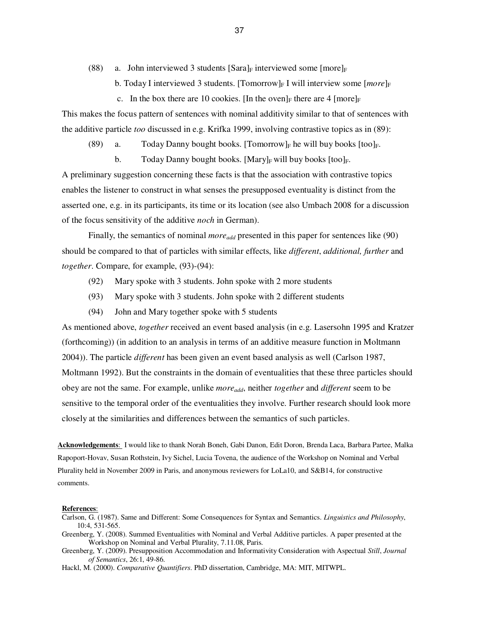- (88) a. John interviewed 3 students  $\left[\text{Sara}\right]_F$  interviewed some  $\left[\text{more}\right]_F$ 
	- b. Today I interviewed 3 students. [Tomorrow] $_F$  I will interview some  $[more]_F$
	- c. In the box there are 10 cookies. [In the oven]<sub>F</sub> there are 4 [more]<sub>F</sub>

This makes the focus pattern of sentences with nominal additivity similar to that of sentences with the additive particle *too* discussed in e.g. Krifka 1999, involving contrastive topics as in (89):

(89) a. Today Danny bought books. [Tomorrow]<sub>F</sub> he will buy books [too]<sub>F</sub>.

b. Today Danny bought books. [Mary]<sub>F</sub> will buy books [too]<sub>F</sub>. A preliminary suggestion concerning these facts is that the association with contrastive topics enables the listener to construct in what senses the presupposed eventuality is distinct from the asserted one, e.g. in its participants, its time or its location (see also Umbach 2008 for a discussion of the focus sensitivity of the additive *noch* in German).

Finally, the semantics of nominal *more*<sub>add</sub> presented in this paper for sentences like (90) should be compared to that of particles with similar effects, like *different*, *additional, further* and *together*. Compare, for example, (93)-(94):

- (92) Mary spoke with 3 students. John spoke with 2 more students
- (93) Mary spoke with 3 students. John spoke with 2 different students
- (94) John and Mary together spoke with 5 students

As mentioned above, *together* received an event based analysis (in e.g. Lasersohn 1995 and Kratzer (forthcoming)) (in addition to an analysis in terms of an additive measure function in Moltmann 2004)). The particle *different* has been given an event based analysis as well (Carlson 1987, Moltmann 1992). But the constraints in the domain of eventualities that these three particles should obey are not the same. For example, unlike *moreadd*, neither *together* and *different* seem to be sensitive to the temporal order of the eventualities they involve. Further research should look more closely at the similarities and differences between the semantics of such particles.

**Acknowledgements**: I would like to thank Norah Boneh, Gabi Danon, Edit Doron, Brenda Laca, Barbara Partee, Malka Rapoport-Hovav, Susan Rothstein, Ivy Sichel, Lucia Tovena, the audience of the Workshop on Nominal and Verbal Plurality held in November 2009 in Paris, and anonymous reviewers for LoLa10, and S&B14, for constructive comments.

#### **References**:

- Carlson, G. (1987). Same and Different: Some Consequences for Syntax and Semantics. *Linguistics and Philosophy*, 10:4, 531-565.
- Greenberg, Y. (2008). Summed Eventualities with Nominal and Verbal Additive particles. A paper presented at the Workshop on Nominal and Verbal Plurality, 7.11.08, Paris.

Greenberg, Y. (2009). Presupposition Accommodation and Informativity Consideration with Aspectual *Still*, *Journal of Semantics*, 26:1, 49-86.

Hackl, M. (2000). *Comparative Quantifiers*. PhD dissertation, Cambridge, MA: MIT, MITWPL.